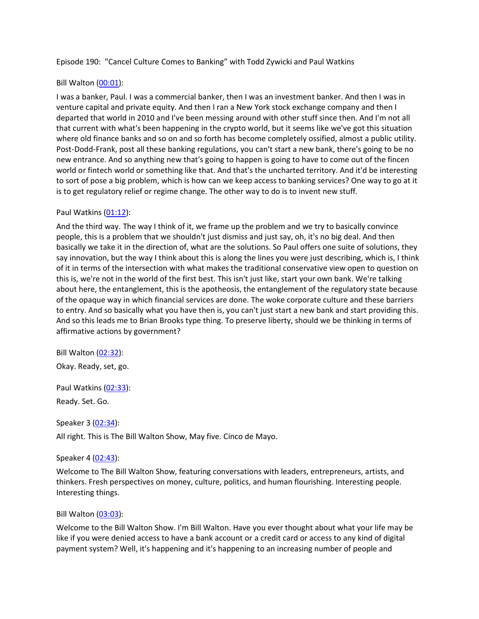Episode 190: "Cancel Culture Comes to Banking" with Todd Zywicki and Paul Watkins

# Bill Walton [\(00:01\)](https://www.rev.com/transcript-editor/Edit?token=lUUk4I5eonZgE1WgNMqYg0cRCLaijCBGMzOdCIxsW7Dd1PchVgoSyC_zlbS-MxtPayEYCdrJAJlnexZPeIrP_CHfxm4&loadFrom=DocumentDeeplink&ts=1.51):

I was a banker, Paul. I was a commercial banker, then I was an investment banker. And then I was in venture capital and private equity. And then I ran a New York stock exchange company and then I departed that world in 2010 and I've been messing around with other stuff since then. And I'm not all that current with what's been happening in the crypto world, but it seems like we've got this situation where old finance banks and so on and so forth has become completely ossified, almost a public utility. Post-Dodd-Frank, post all these banking regulations, you can't start a new bank, there's going to be no new entrance. And so anything new that's going to happen is going to have to come out of the fincen world or fintech world or something like that. And that's the uncharted territory. And it'd be interesting to sort of pose a big problem, which is how can we keep access to banking services? One way to go at it is to get regulatory relief or regime change. The other way to do is to invent new stuff.

#### Paul Watkins [\(01:12\)](https://www.rev.com/transcript-editor/Edit?token=E8UmOm_Mj8O1t0MREh_4jpfXKdl1cmTFb_Lanrz_7qXIDfE3Wq-AgOWVujhHtQWcpNRKqZWht_FO9_ZSOgyR6n2QmAg&loadFrom=DocumentDeeplink&ts=72.74):

And the third way. The way I think of it, we frame up the problem and we try to basically convince people, this is a problem that we shouldn't just dismiss and just say, oh, it's no big deal. And then basically we take it in the direction of, what are the solutions. So Paul offers one suite of solutions, they say innovation, but the way I think about this is along the lines you were just describing, which is, I think of it in terms of the intersection with what makes the traditional conservative view open to question on this is, we're not in the world of the first best. This isn't just like, start your own bank. We're talking about here, the entanglement, this is the apotheosis, the entanglement of the regulatory state because of the opaque way in which financial services are done. The woke corporate culture and these barriers to entry. And so basically what you have then is, you can't just start a new bank and start providing this. And so this leads me to Brian Brooks type thing. To preserve liberty, should we be thinking in terms of affirmative actions by government?

Bill Walton [\(02:32\)](https://www.rev.com/transcript-editor/Edit?token=AzFPKUP1cF3xqguSl-BZHewwHLa7yX064Fk8dsGTEpPTFqlMpkZgJUwhfM1z1lUasbKBy2RxOxl9NG7j3TjNcYi2FSs&loadFrom=DocumentDeeplink&ts=152.45): Okay. Ready, set, go.

Paul Watkins [\(02:33\)](https://www.rev.com/transcript-editor/Edit?token=oZbWl4foX9VigVK9ts14Jd6uDEAaL3TYV48a_SWtRlAeBqdZVdP55l6Gvyk_UwWL-2NqXiHURfqcYjRTvr7aXZ4M5IA&loadFrom=DocumentDeeplink&ts=153.76):

Ready. Set. Go.

#### Speaker 3 [\(02:34\)](https://www.rev.com/transcript-editor/Edit?token=e4pu-cBoqkrAoymCd7WUpVlwjIWDOYdnGax4oHBysREW9dZ9PsXTB3HnJrM-ZGcqfJbw4eqOxtTtWz32SqFzM0Gqh-w&loadFrom=DocumentDeeplink&ts=154.88):

All right. This is The Bill Walton Show, May five. Cinco de Mayo.

#### Speaker 4 [\(02:43\)](https://www.rev.com/transcript-editor/Edit?token=oAmxS7gSHX5uMVM2n0nxnWQuiG1wBMjY6zpFpDOl7hiddhW0MnIV93MPIz9tOadChkKzav0OYIeDI-L7pVZSwKSwt5s&loadFrom=DocumentDeeplink&ts=163.38):

Welcome to The Bill Walton Show, featuring conversations with leaders, entrepreneurs, artists, and thinkers. Fresh perspectives on money, culture, politics, and human flourishing. Interesting people. Interesting things.

#### Bill Walton [\(03:03\)](https://www.rev.com/transcript-editor/Edit?token=u5yV6v5DPGBS_cHgi1k2liY5Kxfe9bIRqM75HLLb4-CSQOWVwW8-E3pU7UHbaY3mm-Sb3SeNtgeBLc8z_cv2W4MYclA&loadFrom=DocumentDeeplink&ts=183.91):

Welcome to the Bill Walton Show. I'm Bill Walton. Have you ever thought about what your life may be like if you were denied access to have a bank account or a credit card or access to any kind of digital payment system? Well, it's happening and it's happening to an increasing number of people and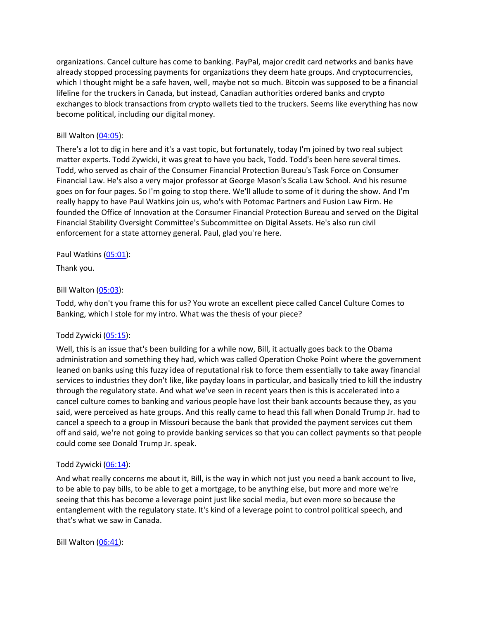organizations. Cancel culture has come to banking. PayPal, major credit card networks and banks have already stopped processing payments for organizations they deem hate groups. And cryptocurrencies, which I thought might be a safe haven, well, maybe not so much. Bitcoin was supposed to be a financial lifeline for the truckers in Canada, but instead, Canadian authorities ordered banks and crypto exchanges to block transactions from crypto wallets tied to the truckers. Seems like everything has now become political, including our digital money.

### Bill Walton [\(04:05\)](https://www.rev.com/transcript-editor/Edit?token=8kp2YaHQiHZCeJQG1aqoYZG2hTebNeUkrXi1FKzqHIsMW1mky8Z6LgzfgYl3DOoxgUROyiZ3Rg-GmTCouTV5L1CwFBA&loadFrom=DocumentDeeplink&ts=245.57):

There's a lot to dig in here and it's a vast topic, but fortunately, today I'm joined by two real subject matter experts. Todd Zywicki, it was great to have you back, Todd. Todd's been here several times. Todd, who served as chair of the Consumer Financial Protection Bureau's Task Force on Consumer Financial Law. He's also a very major professor at George Mason's Scalia Law School. And his resume goes on for four pages. So I'm going to stop there. We'll allude to some of it during the show. And I'm really happy to have Paul Watkins join us, who's with Potomac Partners and Fusion Law Firm. He founded the Office of Innovation at the Consumer Financial Protection Bureau and served on the Digital Financial Stability Oversight Committee's Subcommittee on Digital Assets. He's also run civil enforcement for a state attorney general. Paul, glad you're here.

### Paul Watkins [\(05:01\)](https://www.rev.com/transcript-editor/Edit?token=akOb5UK97rW1wvjOZ4sXGXRqzGeAWB4AN9aqdhx3XurJ6D6sJU9tJ7QMZaQ9yJGobjYG1_LzuH6VFBKgcgWq6TeKqKo&loadFrom=DocumentDeeplink&ts=301.94):

Thank you.

# Bill Walton [\(05:03\)](https://www.rev.com/transcript-editor/Edit?token=M_JeOUc4h6LcgJ7SjDx3Se4KW2Q8p7PPx_7AXGpg-laWOS6C6Hn6iauf_YlV9-jpQgB5Fc2D8A-j-3FNLNXldlzI974&loadFrom=DocumentDeeplink&ts=303.68):

Todd, why don't you frame this for us? You wrote an excellent piece called Cancel Culture Comes to Banking, which I stole for my intro. What was the thesis of your piece?

### Todd Zywicki [\(05:15\)](https://www.rev.com/transcript-editor/Edit?token=_Rs4ubmxV-TXyxLk2338ewHo-Pnjp8uuSBOMFTnVo5Dx7U62oVxk2h9CrWmZWIQpOnObocE-oocInj9UrB0npDL5LAM&loadFrom=DocumentDeeplink&ts=315.39):

Well, this is an issue that's been building for a while now, Bill, it actually goes back to the Obama administration and something they had, which was called Operation Choke Point where the government leaned on banks using this fuzzy idea of reputational risk to force them essentially to take away financial services to industries they don't like, like payday loans in particular, and basically tried to kill the industry through the regulatory state. And what we've seen in recent years then is this is accelerated into a cancel culture comes to banking and various people have lost their bank accounts because they, as you said, were perceived as hate groups. And this really came to head this fall when Donald Trump Jr. had to cancel a speech to a group in Missouri because the bank that provided the payment services cut them off and said, we're not going to provide banking services so that you can collect payments so that people could come see Donald Trump Jr. speak.

### Todd Zywicki [\(06:14\)](https://www.rev.com/transcript-editor/Edit?token=7LyPmT01-wj5YBQRCe1pQ30hsZ6iLSvHn44hhame5jBb_F0Sv4zYbvmnSnENPppnm46dLgasdt8Ghqpp6vgXQopTkoQ&loadFrom=DocumentDeeplink&ts=374.76):

And what really concerns me about it, Bill, is the way in which not just you need a bank account to live, to be able to pay bills, to be able to get a mortgage, to be anything else, but more and more we're seeing that this has become a leverage point just like social media, but even more so because the entanglement with the regulatory state. It's kind of a leverage point to control political speech, and that's what we saw in Canada.

Bill Walton [\(06:41\)](https://www.rev.com/transcript-editor/Edit?token=d4CJ8LKunnRkbA1RxCldznfOOJT7LVIo8Eb4YrIknXnM3y7beEDRRq7jR9Mi3bkqzOJi6A_vWTSntIy8sE51xUixIk4&loadFrom=DocumentDeeplink&ts=401.53):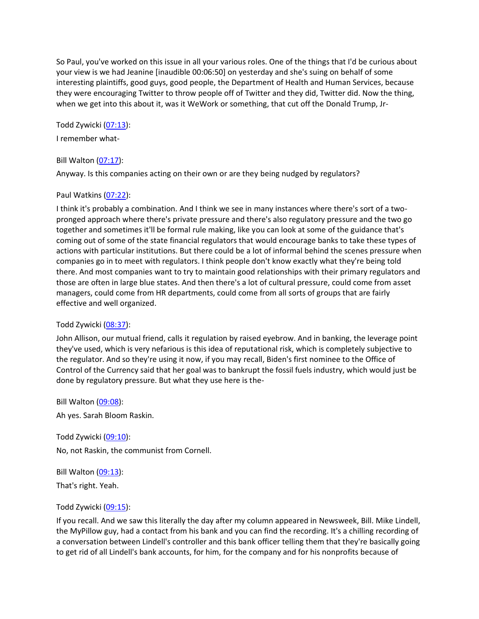So Paul, you've worked on this issue in all your various roles. One of the things that I'd be curious about your view is we had Jeanine [inaudible 00:06:50] on yesterday and she's suing on behalf of some interesting plaintiffs, good guys, good people, the Department of Health and Human Services, because they were encouraging Twitter to throw people off of Twitter and they did, Twitter did. Now the thing, when we get into this about it, was it WeWork or something, that cut off the Donald Trump, Jr-

Todd Zywicki [\(07:13\)](https://www.rev.com/transcript-editor/Edit?token=py8RGiqyNfsdZjg7yoQ2G30CH8C-9l_iHF_rUHxSfKV0-j3lFxTko52CzhFcJkqLo3Z5LHQhUjZLgSAqIW8Ib8LJHOI&loadFrom=DocumentDeeplink&ts=433.45):

I remember what-

### Bill Walton [\(07:17\)](https://www.rev.com/transcript-editor/Edit?token=PQpN4tK-jCLJuRK-6jcw43FUYghTTEg2j8zu8RxR5st3oSds43KN7NP8rg-hRXVM6liAhl9YooPRuSMweqgmUiAvfMo&loadFrom=DocumentDeeplink&ts=437.21):

Anyway. Is this companies acting on their own or are they being nudged by regulators?

### Paul Watkins [\(07:22\)](https://www.rev.com/transcript-editor/Edit?token=eKwb-gDqEAt8vrN9ZzRRADnMBaKsyXek7eagyAyjSsrOJ-Ikmvs7cgr1cOqguDlpN-nKd_fMcQ_QC5ujwdIe7wNh4bU&loadFrom=DocumentDeeplink&ts=442.75):

I think it's probably a combination. And I think we see in many instances where there's sort of a twopronged approach where there's private pressure and there's also regulatory pressure and the two go together and sometimes it'll be formal rule making, like you can look at some of the guidance that's coming out of some of the state financial regulators that would encourage banks to take these types of actions with particular institutions. But there could be a lot of informal behind the scenes pressure when companies go in to meet with regulators. I think people don't know exactly what they're being told there. And most companies want to try to maintain good relationships with their primary regulators and those are often in large blue states. And then there's a lot of cultural pressure, could come from asset managers, could come from HR departments, could come from all sorts of groups that are fairly effective and well organized.

### Todd Zywicki [\(08:37\)](https://www.rev.com/transcript-editor/Edit?token=8FjOadY23dRe3UHBeV-A9wqx2nQP4E2hGsBQpUEvcuK3zwR6xJ4OeHGqUkJPGvc_Hjsqwi5mop4MFKy8d1T_PM7aGko&loadFrom=DocumentDeeplink&ts=517.12):

John Allison, our mutual friend, calls it regulation by raised eyebrow. And in banking, the leverage point they've used, which is very nefarious is this idea of reputational risk, which is completely subjective to the regulator. And so they're using it now, if you may recall, Biden's first nominee to the Office of Control of the Currency said that her goal was to bankrupt the fossil fuels industry, which would just be done by regulatory pressure. But what they use here is the-

Bill Walton [\(09:08\)](https://www.rev.com/transcript-editor/Edit?token=Wt3uBBiWdL4BsXK-D0NWhmt4Hv5Sg7JRAcjHfiEavebLidMu6eT-efFd76VdW787INMbxt58ziJRc2ymen-TYb2sWpo&loadFrom=DocumentDeeplink&ts=548.42):

Ah yes. Sarah Bloom Raskin.

Todd Zywicki [\(09:10\)](https://www.rev.com/transcript-editor/Edit?token=InaMnp5-bnvuPqVVo2HWwpT58gN9_bFMGFWolWi7C3-2Cktybri_J9JYidPOQ7DxiRr1jSoNNA6t2EA78_MbLPnWvb4&loadFrom=DocumentDeeplink&ts=550.26): No, not Raskin, the communist from Cornell.

Bill Walton  $(09:13)$ :

That's right. Yeah.

### Todd Zywicki [\(09:15\)](https://www.rev.com/transcript-editor/Edit?token=OUK3bmryX3j8bwMfx_tG7BGjbPRB6pybhMwjuU2S1nEjruOPioomghFZxmYE0mmfMY2ZvDD59ZS93d8svEZudvAFb1w&loadFrom=DocumentDeeplink&ts=555.54):

If you recall. And we saw this literally the day after my column appeared in Newsweek, Bill. Mike Lindell, the MyPillow guy, had a contact from his bank and you can find the recording. It's a chilling recording of a conversation between Lindell's controller and this bank officer telling them that they're basically going to get rid of all Lindell's bank accounts, for him, for the company and for his nonprofits because of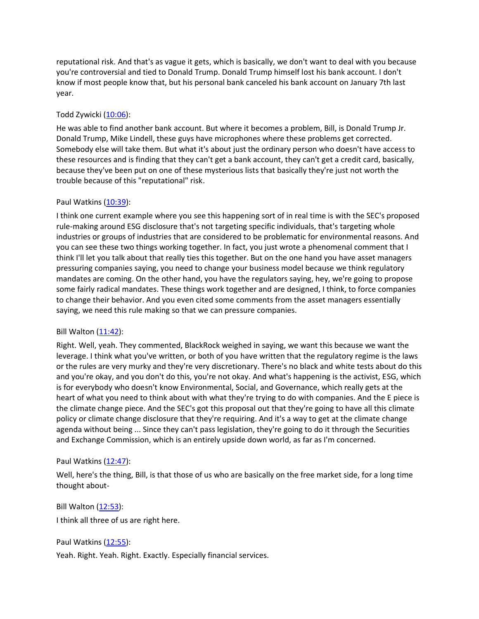reputational risk. And that's as vague it gets, which is basically, we don't want to deal with you because you're controversial and tied to Donald Trump. Donald Trump himself lost his bank account. I don't know if most people know that, but his personal bank canceled his bank account on January 7th last year.

## Todd Zywicki [\(10:06\)](https://www.rev.com/transcript-editor/Edit?token=NG0rdyngN9jBwEK9x7KEiVW0pQ4YoAab6IN6ayHyFide6O_ztFrFmzPNsWSiUPqgRwYGdDuIS6MJNgcDBXTKacbj6H0&loadFrom=DocumentDeeplink&ts=606.97):

He was able to find another bank account. But where it becomes a problem, Bill, is Donald Trump Jr. Donald Trump, Mike Lindell, these guys have microphones where these problems get corrected. Somebody else will take them. But what it's about just the ordinary person who doesn't have access to these resources and is finding that they can't get a bank account, they can't get a credit card, basically, because they've been put on one of these mysterious lists that basically they're just not worth the trouble because of this "reputational" risk.

### Paul Watkins [\(10:39\)](https://www.rev.com/transcript-editor/Edit?token=OnAfSCFasacU008mPtO0CF9EC8C6RmaQ32NfP6McMPsSxIOCS90stYJycXq-DhPRSKqUhYMw9Spu9-CSHxuEf7mf09k&loadFrom=DocumentDeeplink&ts=639.89):

I think one current example where you see this happening sort of in real time is with the SEC's proposed rule-making around ESG disclosure that's not targeting specific individuals, that's targeting whole industries or groups of industries that are considered to be problematic for environmental reasons. And you can see these two things working together. In fact, you just wrote a phenomenal comment that I think I'll let you talk about that really ties this together. But on the one hand you have asset managers pressuring companies saying, you need to change your business model because we think regulatory mandates are coming. On the other hand, you have the regulators saying, hey, we're going to propose some fairly radical mandates. These things work together and are designed, I think, to force companies to change their behavior. And you even cited some comments from the asset managers essentially saying, we need this rule making so that we can pressure companies.

### Bill Walton [\(11:42\)](https://www.rev.com/transcript-editor/Edit?token=yxJuk5055m6tACgQiBorIvvo6eHKvGJPV8Hn7WfwWd0iAiPmLwdzEpYcORBc6QU8HwZNW8rRUOiQ9MdCuwZ8VsXStlI&loadFrom=DocumentDeeplink&ts=702.37):

Right. Well, yeah. They commented, BlackRock weighed in saying, we want this because we want the leverage. I think what you've written, or both of you have written that the regulatory regime is the laws or the rules are very murky and they're very discretionary. There's no black and white tests about do this and you're okay, and you don't do this, you're not okay. And what's happening is the activist, ESG, which is for everybody who doesn't know Environmental, Social, and Governance, which really gets at the heart of what you need to think about with what they're trying to do with companies. And the E piece is the climate change piece. And the SEC's got this proposal out that they're going to have all this climate policy or climate change disclosure that they're requiring. And it's a way to get at the climate change agenda without being ... Since they can't pass legislation, they're going to do it through the Securities and Exchange Commission, which is an entirely upside down world, as far as I'm concerned.

### Paul Watkins [\(12:47\)](https://www.rev.com/transcript-editor/Edit?token=2yG7k-6N0KyoY4zWYta8rWdaF3lGEC2XpWdG6OJuYolcN-l08nreTXvLJVKxJ1ww80JqN2k5Xx_8BmxDaWFU2gVpzmk&loadFrom=DocumentDeeplink&ts=767.45):

Well, here's the thing, Bill, is that those of us who are basically on the free market side, for a long time thought about-

### Bill Walton [\(12:53\)](https://www.rev.com/transcript-editor/Edit?token=G62ZnwxSiE6dw7lkKJjpTPQgLXRLeB-CGOvw68fHO5aP6ClawJSUOVO77_-vqWZJVNz2_pCJkwAqlwieEeZyJpEO0rU&loadFrom=DocumentDeeplink&ts=773.64):

I think all three of us are right here.

### Paul Watkins [\(12:55\)](https://www.rev.com/transcript-editor/Edit?token=mMV_NqZMirH44xAn3Btk_KY6aK_Ks6jQToInEi6jdLlD7i3S0sYpdzX3zQh0fMFoYmQA4OriHLw4cYObYrKT8QOw8Xo&loadFrom=DocumentDeeplink&ts=775.15):

Yeah. Right. Yeah. Right. Exactly. Especially financial services.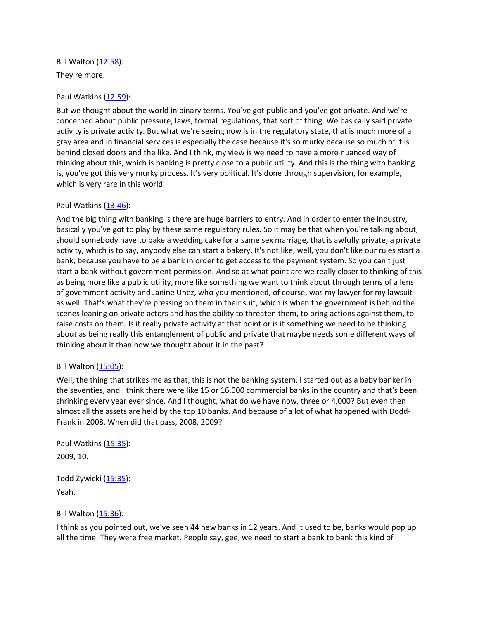Bill Walton [\(12:58\)](https://www.rev.com/transcript-editor/Edit?token=IBiNfMrGoIRRTAzCfzBi3JFO5TRciynYL85aA-eNL-derZrHBirPUqoD18-Cx4Vyw2KzTJtj63Jsz-G2uY3HG91X87g&loadFrom=DocumentDeeplink&ts=778.05): They're more.

### Paul Watkins [\(12:59\)](https://www.rev.com/transcript-editor/Edit?token=J4IjvMdBAWuSojXON1orWx_KrS_uzBmgn1McgkNgeplxLdb6wJE6cweJ1H_4JjJgq2wRoz9qcOzst1afTn2iG5wHMGw&loadFrom=DocumentDeeplink&ts=779.4):

But we thought about the world in binary terms. You've got public and you've got private. And we're concerned about public pressure, laws, formal regulations, that sort of thing. We basically said private activity is private activity. But what we're seeing now is in the regulatory state, that is much more of a gray area and in financial services is especially the case because it's so murky because so much of it is behind closed doors and the like. And I think, my view is we need to have a more nuanced way of thinking about this, which is banking is pretty close to a public utility. And this is the thing with banking is, you've got this very murky process. It's very political. It's done through supervision, for example, which is very rare in this world.

#### Paul Watkins [\(13:46\)](https://www.rev.com/transcript-editor/Edit?token=y6nqmUytaUzhAfHm9z5aklIe5vTHxslQNnTyRBgm14W9OM4z2xc5Q3I0Cu43jMHiEbSh3gYkavgVqPC5rB1LjoKsUPs&loadFrom=DocumentDeeplink&ts=826.27):

And the big thing with banking is there are huge barriers to entry. And in order to enter the industry, basically you've got to play by these same regulatory rules. So it may be that when you're talking about, should somebody have to bake a wedding cake for a same sex marriage, that is awfully private, a private activity, which is to say, anybody else can start a bakery. It's not like, well, you don't like our rules start a bank, because you have to be a bank in order to get access to the payment system. So you can't just start a bank without government permission. And so at what point are we really closer to thinking of this as being more like a public utility, more like something we want to think about through terms of a lens of government activity and Janine Unez, who you mentioned, of course, was my lawyer for my lawsuit as well. That's what they're pressing on them in their suit, which is when the government is behind the scenes leaning on private actors and has the ability to threaten them, to bring actions against them, to raise costs on them. Is it really private activity at that point or is it something we need to be thinking about as being really this entanglement of public and private that maybe needs some different ways of thinking about it than how we thought about it in the past?

#### Bill Walton [\(15:05\)](https://www.rev.com/transcript-editor/Edit?token=jgsiSqkqLkQNo3rc_fsHiout7wDBZEtZleUexeswH55DD541ujnz7NRcBFZu-hFpUrU3pwBswhapJ8Zgh7URfhCF9sg&loadFrom=DocumentDeeplink&ts=905.61):

Well, the thing that strikes me as that, this is not the banking system. I started out as a baby banker in the seventies, and I think there were like 15 or 16,000 commercial banks in the country and that's been shrinking every year ever since. And I thought, what do we have now, three or 4,000? But even then almost all the assets are held by the top 10 banks. And because of a lot of what happened with Dodd-Frank in 2008. When did that pass, 2008, 2009?

Paul Watkins [\(15:35\)](https://www.rev.com/transcript-editor/Edit?token=OEyJA7k3A7MZncquiJTsicp7LmQiVUr9SYVNsp2B15uk-QvOw3EZjKt9JWUTyWUOShlCXsZGFWNCc_06JNzE3vWkp1g&loadFrom=DocumentDeeplink&ts=935.88): 2009, 10.

Todd Zywicki [\(15:35\)](https://www.rev.com/transcript-editor/Edit?token=Wdq8ZzNFzRSgF5UVibJq9i2dw9Dg7-LDihPjs-gffxhwtfHhgWPm8Shr3iH83I_CT5Zu9FuVqh2urLkygmNnmGSBWw8&loadFrom=DocumentDeeplink&ts=935.89): Yeah.

Bill Walton [\(15:36\)](https://www.rev.com/transcript-editor/Edit?token=93x7upSaTVCUYupT4HX74duIPC-nNu6gMGQDwYvuUBz84l8h7QrYrzokGwSdr8v7n-AAUbMwga4u14MzhGs8n23scTc&loadFrom=DocumentDeeplink&ts=936.1):

I think as you pointed out, we've seen 44 new banks in 12 years. And it used to be, banks would pop up all the time. They were free market. People say, gee, we need to start a bank to bank this kind of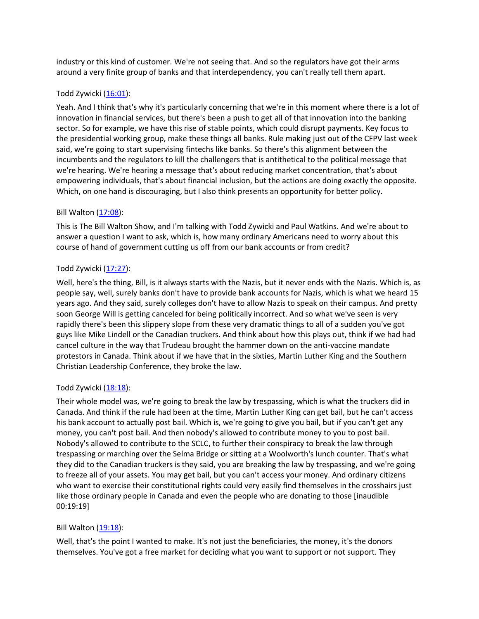industry or this kind of customer. We're not seeing that. And so the regulators have got their arms around a very finite group of banks and that interdependency, you can't really tell them apart.

### Todd Zywicki [\(16:01\)](https://www.rev.com/transcript-editor/Edit?token=9AFIxp5X6BZc3Aa7Sd-i2CwplK5bbcaV-pAU-vUexEFMh_j0-sSw1Gj3KbnReErMkXuir8PVWYWjACeN4e2HWEulqxQ&loadFrom=DocumentDeeplink&ts=961.96):

Yeah. And I think that's why it's particularly concerning that we're in this moment where there is a lot of innovation in financial services, but there's been a push to get all of that innovation into the banking sector. So for example, we have this rise of stable points, which could disrupt payments. Key focus to the presidential working group, make these things all banks. Rule making just out of the CFPV last week said, we're going to start supervising fintechs like banks. So there's this alignment between the incumbents and the regulators to kill the challengers that is antithetical to the political message that we're hearing. We're hearing a message that's about reducing market concentration, that's about empowering individuals, that's about financial inclusion, but the actions are doing exactly the opposite. Which, on one hand is discouraging, but I also think presents an opportunity for better policy.

# Bill Walton [\(17:08\)](https://www.rev.com/transcript-editor/Edit?token=C7hXLp_LZyQuioFcLFZJp9KinkuirSXaiWZLwoxo5rFdAC_ezv52nZ87bYG52PE8Ux60eSLxHW_u964ZufHsJQWlho8&loadFrom=DocumentDeeplink&ts=1028.66):

This is The Bill Walton Show, and I'm talking with Todd Zywicki and Paul Watkins. And we're about to answer a question I want to ask, which is, how many ordinary Americans need to worry about this course of hand of government cutting us off from our bank accounts or from credit?

# Todd Zywicki [\(17:27\)](https://www.rev.com/transcript-editor/Edit?token=I6j5yTDGVxNS0TI95NepcofXofxQWR3joqTWRl71MpMpmZW9qpeREU2YCEtxLdRpbC0QOwbyWa0m3dycF1dH4SdxNKU&loadFrom=DocumentDeeplink&ts=1047.86):

Well, here's the thing, Bill, is it always starts with the Nazis, but it never ends with the Nazis. Which is, as people say, well, surely banks don't have to provide bank accounts for Nazis, which is what we heard 15 years ago. And they said, surely colleges don't have to allow Nazis to speak on their campus. And pretty soon George Will is getting canceled for being politically incorrect. And so what we've seen is very rapidly there's been this slippery slope from these very dramatic things to all of a sudden you've got guys like Mike Lindell or the Canadian truckers. And think about how this plays out, think if we had had cancel culture in the way that Trudeau brought the hammer down on the anti-vaccine mandate protestors in Canada. Think about if we have that in the sixties, Martin Luther King and the Southern Christian Leadership Conference, they broke the law.

# Todd Zywicki [\(18:18\)](https://www.rev.com/transcript-editor/Edit?token=ell0lAo34zukOpQBGB2gfElmffU2txUiwMoLs2z8RarSZTgtlxG7ICK3RMn_OVA3DeZoy-u15vEODBZyeEs19kthAzs&loadFrom=DocumentDeeplink&ts=1098.98):

Their whole model was, we're going to break the law by trespassing, which is what the truckers did in Canada. And think if the rule had been at the time, Martin Luther King can get bail, but he can't access his bank account to actually post bail. Which is, we're going to give you bail, but if you can't get any money, you can't post bail. And then nobody's allowed to contribute money to you to post bail. Nobody's allowed to contribute to the SCLC, to further their conspiracy to break the law through trespassing or marching over the Selma Bridge or sitting at a Woolworth's lunch counter. That's what they did to the Canadian truckers is they said, you are breaking the law by trespassing, and we're going to freeze all of your assets. You may get bail, but you can't access your money. And ordinary citizens who want to exercise their constitutional rights could very easily find themselves in the crosshairs just like those ordinary people in Canada and even the people who are donating to those [inaudible 00:19:19]

### Bill Walton [\(19:18\)](https://www.rev.com/transcript-editor/Edit?token=6qft5HXY8bradFs_ybE2IfQLpgkSGGkPM1DJ-7zzoLi8r9JRUOVE2vHkjv8Mit1lT4qNmTN2o9lIRVWMKkoYf3fu_-E&loadFrom=DocumentDeeplink&ts=1158.77):

Well, that's the point I wanted to make. It's not just the beneficiaries, the money, it's the donors themselves. You've got a free market for deciding what you want to support or not support. They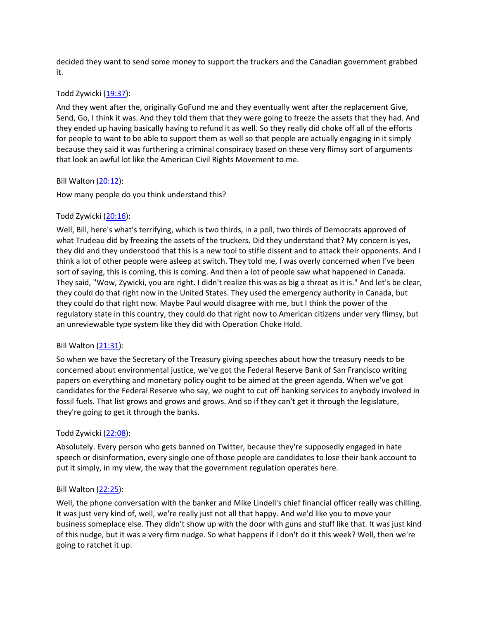decided they want to send some money to support the truckers and the Canadian government grabbed it.

#### Todd Zywicki [\(19:37\)](https://www.rev.com/transcript-editor/Edit?token=BnVqXQwLsTQOhRYND78uMDzgY1KSCvrMoPABq62OeqppVbRSEc6lR9UwO2G9owSk5wHOIPHcfv6PkIUPLAOcywpgnQo&loadFrom=DocumentDeeplink&ts=1177.71):

And they went after the, originally GoFund me and they eventually went after the replacement Give, Send, Go, I think it was. And they told them that they were going to freeze the assets that they had. And they ended up having basically having to refund it as well. So they really did choke off all of the efforts for people to want to be able to support them as well so that people are actually engaging in it simply because they said it was furthering a criminal conspiracy based on these very flimsy sort of arguments that look an awful lot like the American Civil Rights Movement to me.

#### Bill Walton [\(20:12\)](https://www.rev.com/transcript-editor/Edit?token=bztAb9H2Sr88IWT3bBr3JnLNEdB_UuaVts350ND3bSC4MvrFynUR8qFhuLyx-iKuOQcQKjSxTVIaiTxFjdF-dJmhiaY&loadFrom=DocumentDeeplink&ts=1212.81):

How many people do you think understand this?

#### Todd Zywicki [\(20:16\)](https://www.rev.com/transcript-editor/Edit?token=xfNW0fjPMcwHuykrKS-z_g7vXySB-Yt-4SVabGZvU9MK3FotKoaJaE0802o-7_053kir3FmvrNA6TU0SbWOai2Qb30Q&loadFrom=DocumentDeeplink&ts=1216.94):

Well, Bill, here's what's terrifying, which is two thirds, in a poll, two thirds of Democrats approved of what Trudeau did by freezing the assets of the truckers. Did they understand that? My concern is yes, they did and they understood that this is a new tool to stifle dissent and to attack their opponents. And I think a lot of other people were asleep at switch. They told me, I was overly concerned when I've been sort of saying, this is coming, this is coming. And then a lot of people saw what happened in Canada. They said, "Wow, Zywicki, you are right. I didn't realize this was as big a threat as it is." And let's be clear, they could do that right now in the United States. They used the emergency authority in Canada, but they could do that right now. Maybe Paul would disagree with me, but I think the power of the regulatory state in this country, they could do that right now to American citizens under very flimsy, but an unreviewable type system like they did with Operation Choke Hold.

#### Bill Walton [\(21:31\)](https://www.rev.com/transcript-editor/Edit?token=fZ3INtJ7lJ9wRy5q2nt-MaECUtoVRLf43VAw89tddlc22w1Sg86Tbtsb6gaXJk1R6lXVMlQv2BKqw3cW6ZmGoMTYvts&loadFrom=DocumentDeeplink&ts=1291.35):

So when we have the Secretary of the Treasury giving speeches about how the treasury needs to be concerned about environmental justice, we've got the Federal Reserve Bank of San Francisco writing papers on everything and monetary policy ought to be aimed at the green agenda. When we've got candidates for the Federal Reserve who say, we ought to cut off banking services to anybody involved in fossil fuels. That list grows and grows and grows. And so if they can't get it through the legislature, they're going to get it through the banks.

#### Todd Zywicki [\(22:08\)](https://www.rev.com/transcript-editor/Edit?token=48RySaTPNIXXdKxfV3OVj-ePKDtgSK7KGtuJlqDv4HhqhroIjydtrWaPQ1gCrTMmj6qh6k1nVNz0bDoWqQDSIbq0hns&loadFrom=DocumentDeeplink&ts=1328.07):

Absolutely. Every person who gets banned on Twitter, because they're supposedly engaged in hate speech or disinformation, every single one of those people are candidates to lose their bank account to put it simply, in my view, the way that the government regulation operates here.

#### Bill Walton [\(22:25\)](https://www.rev.com/transcript-editor/Edit?token=LH0gsmf3vkfIeBhw2QqFNyQHC3jjQHGodx2Fnq1FduQPlNOY4YHisSY6bZyLdNV4C26xlwpXF9rCnbGOsgfH6cuTe9Q&loadFrom=DocumentDeeplink&ts=1345.65):

Well, the phone conversation with the banker and Mike Lindell's chief financial officer really was chilling. It was just very kind of, well, we're really just not all that happy. And we'd like you to move your business someplace else. They didn't show up with the door with guns and stuff like that. It was just kind of this nudge, but it was a very firm nudge. So what happens if I don't do it this week? Well, then we're going to ratchet it up.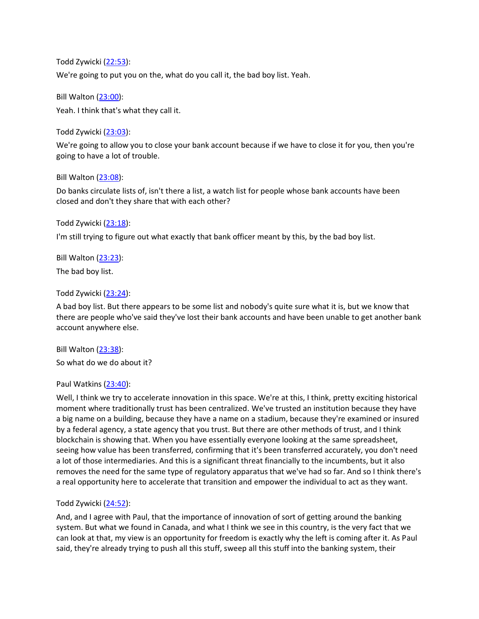Todd Zywicki [\(22:53\)](https://www.rev.com/transcript-editor/Edit?token=tImYw7HjJuY3EtelUxJd3uNUhR3pmPbs3QH25-3BhXLRvOPdLkGtlwVyixZY_3TDuMcw8gOu9SgPRStzshxeOaaRVcc&loadFrom=DocumentDeeplink&ts=1373.44): We're going to put you on the, what do you call it, the bad boy list. Yeah.

Bill Walton [\(23:00\)](https://www.rev.com/transcript-editor/Edit?token=hMPKy57AyAIWyZHv86i1lKNSu42KdyfwAnwtDDVoEy6KP4imV7sx1eHVmwo-GM-kyyHksonxtCcHQ-eeGiyClt0VSzc&loadFrom=DocumentDeeplink&ts=1380.43): Yeah. I think that's what they call it.

Todd Zywicki [\(23:03\)](https://www.rev.com/transcript-editor/Edit?token=BmsQcdjDVimLNv-gqZkKEKZIMIBuhwBmbfeWcDb5ST2nRxGlIujfAN2mgSDciBm2OmyLQCaI8Fy3VPzOoV-1tppP4Zg&loadFrom=DocumentDeeplink&ts=1383.59):

We're going to allow you to close your bank account because if we have to close it for you, then you're going to have a lot of trouble.

# Bill Walton [\(23:08\)](https://www.rev.com/transcript-editor/Edit?token=RnElred7oj6R8JZyTJpwd5wdbupvPw4ShknapjvADKWNMqCgmN8rhzHi9Mwcrh86LdmtUmLZ-PRWaV6T_SoknHhh4-c&loadFrom=DocumentDeeplink&ts=1388.88):

Do banks circulate lists of, isn't there a list, a watch list for people whose bank accounts have been closed and don't they share that with each other?

# Todd Zywicki [\(23:18\)](https://www.rev.com/transcript-editor/Edit?token=8LoR1cPjGqYA62bY3FMF3oij5UAmH1zS6LmAGf2VrmiwIv4vguqL7O79Wg2d8HVw6VKm9IR_3NJG4DyptqkqViMnZqM&loadFrom=DocumentDeeplink&ts=1398.48):

I'm still trying to figure out what exactly that bank officer meant by this, by the bad boy list.

Bill Walton [\(23:23\)](https://www.rev.com/transcript-editor/Edit?token=yBrbXnpUf7DfkFAU3rccjZZl5ynDDA7hFYjYoHIvIoPmN43v1WvMSxtYwgVJMmEOq2KKkycyQoPv-A5xjn3o572HXbQ&loadFrom=DocumentDeeplink&ts=1403.81): The bad boy list.

### Todd Zywicki [\(23:24\)](https://www.rev.com/transcript-editor/Edit?token=uJSDQu-poZYbytor_rUcaCEFZKhEzycDRCKM9mKQACDMct9uloM-Oea8qNR7vDiB0pwY91MPfmFf7QprH-umZo3U_GI&loadFrom=DocumentDeeplink&ts=1404.67):

A bad boy list. But there appears to be some list and nobody's quite sure what it is, but we know that there are people who've said they've lost their bank accounts and have been unable to get another bank account anywhere else.

Bill Walton [\(23:38\)](https://www.rev.com/transcript-editor/Edit?token=mQH1BClDBC9D8nlLcqCwkRbyWPNVOS-zayHuWKbhTO1-STzg9V6AC7Y-sMjw1PfdoXRw8w3jK33MdEMAKFZoIj_X4lo&loadFrom=DocumentDeeplink&ts=1418.42):

So what do we do about it?

### Paul Watkins [\(23:40\)](https://www.rev.com/transcript-editor/Edit?token=06XoUNH-nMYDHcwcAutl8kBvJOPlGmgaUtHoJU05yfA0T4CEW1YTyE11ylda6TE7vCV7UtrKyA33ncoJr3noZByPkHE&loadFrom=DocumentDeeplink&ts=1420.55):

Well, I think we try to accelerate innovation in this space. We're at this, I think, pretty exciting historical moment where traditionally trust has been centralized. We've trusted an institution because they have a big name on a building, because they have a name on a stadium, because they're examined or insured by a federal agency, a state agency that you trust. But there are other methods of trust, and I think blockchain is showing that. When you have essentially everyone looking at the same spreadsheet, seeing how value has been transferred, confirming that it's been transferred accurately, you don't need a lot of those intermediaries. And this is a significant threat financially to the incumbents, but it also removes the need for the same type of regulatory apparatus that we've had so far. And so I think there's a real opportunity here to accelerate that transition and empower the individual to act as they want.

# Todd Zywicki [\(24:52\)](https://www.rev.com/transcript-editor/Edit?token=o96emlKSeJV6MMpQ3PGL97pJdEhc8l4a14u3eNaJ4ZP6V4XCPgEU8qmxTsdbPWENyc_YQZb6mWaOi8apMpS5U5keUHk&loadFrom=DocumentDeeplink&ts=1492.74):

And, and I agree with Paul, that the importance of innovation of sort of getting around the banking system. But what we found in Canada, and what I think we see in this country, is the very fact that we can look at that, my view is an opportunity for freedom is exactly why the left is coming after it. As Paul said, they're already trying to push all this stuff, sweep all this stuff into the banking system, their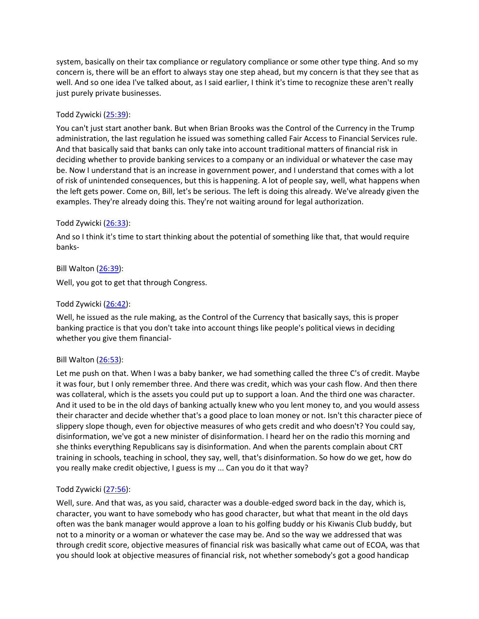system, basically on their tax compliance or regulatory compliance or some other type thing. And so my concern is, there will be an effort to always stay one step ahead, but my concern is that they see that as well. And so one idea I've talked about, as I said earlier, I think it's time to recognize these aren't really just purely private businesses.

# Todd Zywicki [\(25:39\)](https://www.rev.com/transcript-editor/Edit?token=tpyV24ceqnshnmcL5rSgLogoUXmHaA58LQ40pVH2tjm1pqGkfXISpnwQ2BlZpy1pOauRsnj4eNAFRgP43v3LMkwcNlE&loadFrom=DocumentDeeplink&ts=1539.08):

You can't just start another bank. But when Brian Brooks was the Control of the Currency in the Trump administration, the last regulation he issued was something called Fair Access to Financial Services rule. And that basically said that banks can only take into account traditional matters of financial risk in deciding whether to provide banking services to a company or an individual or whatever the case may be. Now I understand that is an increase in government power, and I understand that comes with a lot of risk of unintended consequences, but this is happening. A lot of people say, well, what happens when the left gets power. Come on, Bill, let's be serious. The left is doing this already. We've already given the examples. They're already doing this. They're not waiting around for legal authorization.

### Todd Zywicki [\(26:33\)](https://www.rev.com/transcript-editor/Edit?token=s5YQYPgQU7vPBEpqJg5I7JdebYxMc8n4dAd6FR0MYUUGVjrcHFF-SgLjf-RGI_zfLUeWDbwLzOFs1v8_uY03vp7arT8&loadFrom=DocumentDeeplink&ts=1593.42):

And so I think it's time to start thinking about the potential of something like that, that would require banks-

# Bill Walton [\(26:39\)](https://www.rev.com/transcript-editor/Edit?token=cQW8zEq6Ut8L6For5a-0kRXv9EYV2U0_UqXAEGvgir5EygEiQGN7iAUjiluwaLDQz8P95PxW5ae8zMRnu2ne78N5H5w&loadFrom=DocumentDeeplink&ts=1599.1):

Well, you got to get that through Congress.

# Todd Zywicki [\(26:42\)](https://www.rev.com/transcript-editor/Edit?token=WsXwing0xVU9TjM4sgi7OxHU2wj2qQ6CyMPbIGKj1iDV3TDyJsxiMbrU9a4BEcENFQhHAuKR3cpIPqe38eyzhqRb1Dg&loadFrom=DocumentDeeplink&ts=1602.06):

Well, he issued as the rule making, as the Control of the Currency that basically says, this is proper banking practice is that you don't take into account things like people's political views in deciding whether you give them financial-

### Bill Walton [\(26:53\)](https://www.rev.com/transcript-editor/Edit?token=Q-blE8DRPEtlDl_96R24Y_ehlpAGdTJiDTzWqQFzDC28ffYCp-ceFuvW1M7acebA2jK-qUNNxSNmEX9jbqtTyofIfJI&loadFrom=DocumentDeeplink&ts=1613.66):

Let me push on that. When I was a baby banker, we had something called the three C's of credit. Maybe it was four, but I only remember three. And there was credit, which was your cash flow. And then there was collateral, which is the assets you could put up to support a loan. And the third one was character. And it used to be in the old days of banking actually knew who you lent money to, and you would assess their character and decide whether that's a good place to loan money or not. Isn't this character piece of slippery slope though, even for objective measures of who gets credit and who doesn't? You could say, disinformation, we've got a new minister of disinformation. I heard her on the radio this morning and she thinks everything Republicans say is disinformation. And when the parents complain about CRT training in schools, teaching in school, they say, well, that's disinformation. So how do we get, how do you really make credit objective, I guess is my ... Can you do it that way?

### Todd Zywicki [\(27:56\)](https://www.rev.com/transcript-editor/Edit?token=QZhE41__G6sbpiAZG-ulJNsR3lMDqs_VWKBudJ1Rjgs5k7MUjo25u6H5bBkM1P1K7FxFJjHkc90TwUIA-u2eCYQktAM&loadFrom=DocumentDeeplink&ts=1676.6):

Well, sure. And that was, as you said, character was a double-edged sword back in the day, which is, character, you want to have somebody who has good character, but what that meant in the old days often was the bank manager would approve a loan to his golfing buddy or his Kiwanis Club buddy, but not to a minority or a woman or whatever the case may be. And so the way we addressed that was through credit score, objective measures of financial risk was basically what came out of ECOA, was that you should look at objective measures of financial risk, not whether somebody's got a good handicap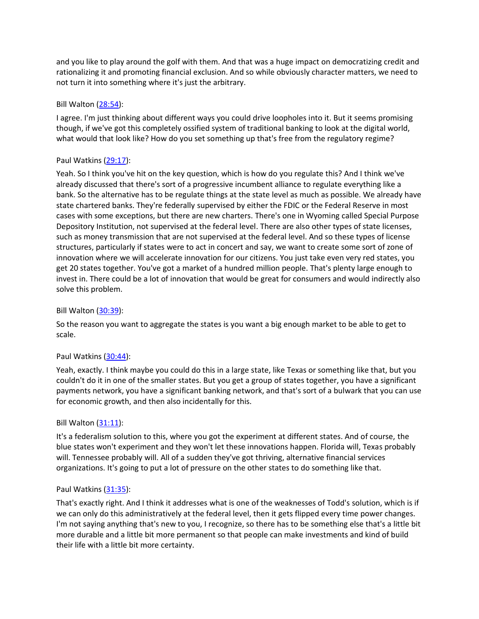and you like to play around the golf with them. And that was a huge impact on democratizing credit and rationalizing it and promoting financial exclusion. And so while obviously character matters, we need to not turn it into something where it's just the arbitrary.

### Bill Walton [\(28:54\)](https://www.rev.com/transcript-editor/Edit?token=0HFq5hJy4Edy-pMZE6mSRZDi2rrdSbPfboWkIWRwvHjgNWbrhdSbOpXOt9dbT3E644oq67XzYRA3az-870o8Lz9kLSk&loadFrom=DocumentDeeplink&ts=1734.57):

I agree. I'm just thinking about different ways you could drive loopholes into it. But it seems promising though, if we've got this completely ossified system of traditional banking to look at the digital world, what would that look like? How do you set something up that's free from the regulatory regime?

# Paul Watkins [\(29:17\)](https://www.rev.com/transcript-editor/Edit?token=TphuDKg8aRy5Ym12dDS8u67d5Z2oG3-tQN7VaCq-Kh5HAlzvVJwWCyqeEA0aiobcV-5ubmxsRGbgexFylK16aR3cRN0&loadFrom=DocumentDeeplink&ts=1757.67):

Yeah. So I think you've hit on the key question, which is how do you regulate this? And I think we've already discussed that there's sort of a progressive incumbent alliance to regulate everything like a bank. So the alternative has to be regulate things at the state level as much as possible. We already have state chartered banks. They're federally supervised by either the FDIC or the Federal Reserve in most cases with some exceptions, but there are new charters. There's one in Wyoming called Special Purpose Depository Institution, not supervised at the federal level. There are also other types of state licenses, such as money transmission that are not supervised at the federal level. And so these types of license structures, particularly if states were to act in concert and say, we want to create some sort of zone of innovation where we will accelerate innovation for our citizens. You just take even very red states, you get 20 states together. You've got a market of a hundred million people. That's plenty large enough to invest in. There could be a lot of innovation that would be great for consumers and would indirectly also solve this problem.

## Bill Walton [\(30:39\)](https://www.rev.com/transcript-editor/Edit?token=9xwDNNp-ApZzkrD2NlOvL_VNwTZqih04hqagO8KBhap7E-muRLiBOmUr7AX27erCTg_KJ5F__TKCX4t0llbpNzeGPOo&loadFrom=DocumentDeeplink&ts=1839.48):

So the reason you want to aggregate the states is you want a big enough market to be able to get to scale.

# Paul Watkins [\(30:44\)](https://www.rev.com/transcript-editor/Edit?token=iqyYLadUvelLiP1cIwIvv-ivJok7xMBbjrMJ_PApRfzr-sFS4aTrIzXBR1oViptxG8OeceRQ2MAdfW505bGxgEnLmQQ&loadFrom=DocumentDeeplink&ts=1844.57):

Yeah, exactly. I think maybe you could do this in a large state, like Texas or something like that, but you couldn't do it in one of the smaller states. But you get a group of states together, you have a significant payments network, you have a significant banking network, and that's sort of a bulwark that you can use for economic growth, and then also incidentally for this.

### Bill Walton [\(31:11\)](https://www.rev.com/transcript-editor/Edit?token=oMebpdsW-qYLPLcmm1iUk_M9i47a44wSCKYGFbwQcNAxTrYKXnujbmRdvp2gRQXMLn7JSg_pKRhQ5c5a41UA-yqrrQs&loadFrom=DocumentDeeplink&ts=1871.98):

It's a federalism solution to this, where you got the experiment at different states. And of course, the blue states won't experiment and they won't let these innovations happen. Florida will, Texas probably will. Tennessee probably will. All of a sudden they've got thriving, alternative financial services organizations. It's going to put a lot of pressure on the other states to do something like that.

### Paul Watkins [\(31:35\)](https://www.rev.com/transcript-editor/Edit?token=zOar-EWh1xqjZRpUD3ooMSrrtXB999brhswbhfcrrJ7w_E6ZrQwb5Qag8VXBtqLW9lrhy_g1mi3-8jRhs4HXwrQqN8k&loadFrom=DocumentDeeplink&ts=1895.17):

That's exactly right. And I think it addresses what is one of the weaknesses of Todd's solution, which is if we can only do this administratively at the federal level, then it gets flipped every time power changes. I'm not saying anything that's new to you, I recognize, so there has to be something else that's a little bit more durable and a little bit more permanent so that people can make investments and kind of build their life with a little bit more certainty.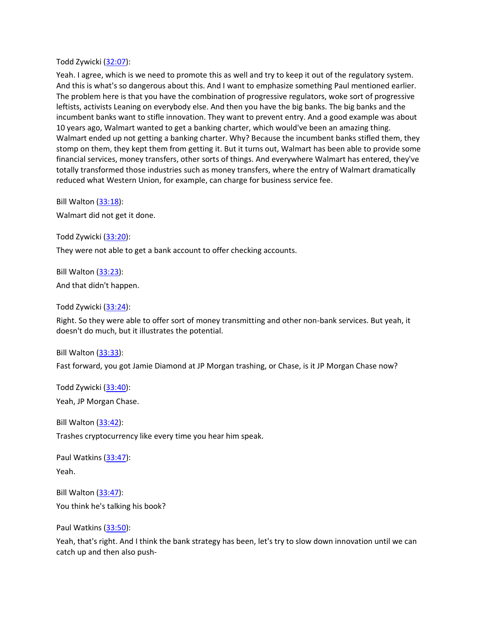Todd Zywicki [\(32:07\)](https://www.rev.com/transcript-editor/Edit?token=wHfB-81lZwsIluKYGQbNUo-V4hmyZttBFot9g7VZeet4zPcKEIydgSTbptpM5ijJZk8UcFd6xp-I5eLXjc8L9iZFTBY&loadFrom=DocumentDeeplink&ts=1927.94):

Yeah. I agree, which is we need to promote this as well and try to keep it out of the regulatory system. And this is what's so dangerous about this. And I want to emphasize something Paul mentioned earlier. The problem here is that you have the combination of progressive regulators, woke sort of progressive leftists, activists Leaning on everybody else. And then you have the big banks. The big banks and the incumbent banks want to stifle innovation. They want to prevent entry. And a good example was about 10 years ago, Walmart wanted to get a banking charter, which would've been an amazing thing. Walmart ended up not getting a banking charter. Why? Because the incumbent banks stifled them, they stomp on them, they kept them from getting it. But it turns out, Walmart has been able to provide some financial services, money transfers, other sorts of things. And everywhere Walmart has entered, they've totally transformed those industries such as money transfers, where the entry of Walmart dramatically reduced what Western Union, for example, can charge for business service fee.

Bill Walton [\(33:18\)](https://www.rev.com/transcript-editor/Edit?token=OANO-7ih-yRjtjZTtEWXMwjXQo0c1Y3kOboegwtjUiCwl6siuwFg5lJU6QBsBbAqdfqEJ23yIK816S4qk6uFW6ZP1gQ&loadFrom=DocumentDeeplink&ts=1998.52): Walmart did not get it done.

Todd Zywicki [\(33:20\)](https://www.rev.com/transcript-editor/Edit?token=OPl-BO-7e-J9iFNPY00Sccdz-w8vehCweoPJPB3qu-1VVG20tfKW9n9FCHP3UlxQKjpY2ae4_o1RaHpPNFzQ5SRSm1g&loadFrom=DocumentDeeplink&ts=2000.09):

They were not able to get a bank account to offer checking accounts.

Bill Walton [\(33:23\)](https://www.rev.com/transcript-editor/Edit?token=nrdfKb88aRSi-mZblV06QYXf7svwsmnzJtedYjpRwTIYNrR-CDsKAtV67-9m789wcBSxZaa7dlpfafdAJRBA33kSbA4&loadFrom=DocumentDeeplink&ts=2003.04):

And that didn't happen.

Todd Zywicki [\(33:24\)](https://www.rev.com/transcript-editor/Edit?token=DjgpRMF5Qo0kLV5idkmRlmvNfO7I5OoJhtun7QbLS4komW7C8ROko93WqnCU9gV3o0PkF3okNT1cDIekiMUCmPiEoqA&loadFrom=DocumentDeeplink&ts=2004.89):

Right. So they were able to offer sort of money transmitting and other non-bank services. But yeah, it doesn't do much, but it illustrates the potential.

Bill Walton [\(33:33\)](https://www.rev.com/transcript-editor/Edit?token=_VJ5DF-7A6ANDin-ScAGYpnHBXrW-4HAk3pe0NtZWtWNzVekDNbIF-mxy-RsYSfwQq1mZqsxcGxX1RMneiw5bgm9kGs&loadFrom=DocumentDeeplink&ts=2013.56):

Fast forward, you got Jamie Diamond at JP Morgan trashing, or Chase, is it JP Morgan Chase now?

Todd Zywicki [\(33:40\)](https://www.rev.com/transcript-editor/Edit?token=4Na2DTDfxEHY5huc3ddF5asP1Fbd9k3VnHZ4tnMdrqgsP4mNIrBnknY2FRJgXSG79oUOOdY38wfoZB6i63pgkfqO_kY&loadFrom=DocumentDeeplink&ts=2020.39):

Yeah, JP Morgan Chase.

Bill Walton [\(33:42\)](https://www.rev.com/transcript-editor/Edit?token=XanEK_GrqY2Ld7NdTqLYEnR9gB26_1yKEnADi2wyH9VKOdf-5WaeHIMoDNDtYOC58rX9q3QSvdW7TmHSr9AT2V59K0o&loadFrom=DocumentDeeplink&ts=2022.89): Trashes cryptocurrency like every time you hear him speak.

Paul Watkins [\(33:47\)](https://www.rev.com/transcript-editor/Edit?token=EW8jxn5JOQ6dbr539bq198rb-zPDsVHxmG1cnCC61lbQ5Swpx1mR8SUmJRonFHES673KLJMa56i-lEaToXeHfnQGVIs&loadFrom=DocumentDeeplink&ts=2027.5): Yeah.

Bill Walton [\(33:47\)](https://www.rev.com/transcript-editor/Edit?token=lVxPW8pCBBAL1QUogCGyLWg0fkAcUEuppcSMgfjzCb2-smZsUhVbiVIhA69NiXLUOWM4DGeIxQKSwbG9zUWH-fvDyHQ&loadFrom=DocumentDeeplink&ts=2027.97): You think he's talking his book?

Paul Watkins [\(33:50\)](https://www.rev.com/transcript-editor/Edit?token=6lu_L0SySNnEukOeUQNUccR92GgqkWJANx5DNxzDVgKVWn5XlL8pNBt6BAqHu3WOA7RVPzmuZpxBIingspwgtLwHIO4&loadFrom=DocumentDeeplink&ts=2030.61):

Yeah, that's right. And I think the bank strategy has been, let's try to slow down innovation until we can catch up and then also push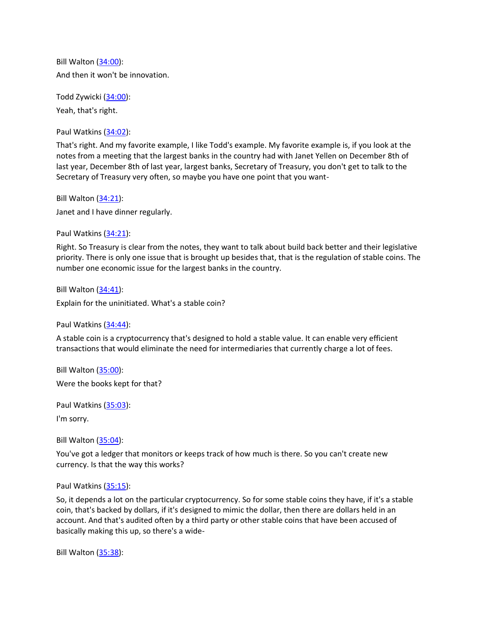Bill Walton [\(34:00\)](https://www.rev.com/transcript-editor/Edit?token=-SljWC3Q5Pox8R9C-Awa1-mv06S91YyHxJpqA1NB2G1nlER1h0mlVpS-fpadnt0v2RYk6DcO5Q2D7aRUFRD_QhXABvo&loadFrom=DocumentDeeplink&ts=2040.18): And then it won't be innovation.

Todd Zywicki [\(34:00\)](https://www.rev.com/transcript-editor/Edit?token=Lx7Zbl1KKM8MPrB-asWWrUXI14SN8CY7pUk0tPcXSqRuSOW2snllYUa4RpJIpyGQbpQXJM68NjjOFQlgtwe7mbAphEE&loadFrom=DocumentDeeplink&ts=2040.73): Yeah, that's right.

Paul Watkins [\(34:02\)](https://www.rev.com/transcript-editor/Edit?token=6qmX5vny_LTkftXf7yN2iyVYbEudcBy5OLFmay-DaFj2pP8jVScETuwlJ8TvzxSjhF67-TJjJZ4Kvfn5TgaeeGA_QmQ&loadFrom=DocumentDeeplink&ts=2042.7):

That's right. And my favorite example, I like Todd's example. My favorite example is, if you look at the notes from a meeting that the largest banks in the country had with Janet Yellen on December 8th of last year, December 8th of last year, largest banks, Secretary of Treasury, you don't get to talk to the Secretary of Treasury very often, so maybe you have one point that you want-

Bill Walton [\(34:21\)](https://www.rev.com/transcript-editor/Edit?token=1X19UC8Qw3BVmJzZE5wM18HXgp_qCyMx7HGq13PcCK1MKTmlarwVp1IIQFM6BxVPk2GRv2Sg5kkDOEOMyvD9MwBvavs&loadFrom=DocumentDeeplink&ts=2061.23): Janet and I have dinner regularly.

Paul Watkins [\(34:21\)](https://www.rev.com/transcript-editor/Edit?token=gjbk0EJylt367-Hbxie14oPuYDHNrcnS1BtyVIoQRCo6UPPa6UuwaAVTkLfrRuCw0IJQpSruhoLIJU3XcH4qm4RAQkg&loadFrom=DocumentDeeplink&ts=2061.82):

Right. So Treasury is clear from the notes, they want to talk about build back better and their legislative priority. There is only one issue that is brought up besides that, that is the regulation of stable coins. The number one economic issue for the largest banks in the country.

Bill Walton  $(34:41)$ : Explain for the uninitiated. What's a stable coin?

Paul Watkins [\(34:44\)](https://www.rev.com/transcript-editor/Edit?token=BIkbS-8xY3isu7Hj83Bj35ogP0Z1w9GXtU5tYa0W0lUQVVn8p_e1ydbSLq7plQaP-m58NaPCWEdFOLxS9j1GFSVucEY&loadFrom=DocumentDeeplink&ts=2084.2):

A stable coin is a cryptocurrency that's designed to hold a stable value. It can enable very efficient transactions that would eliminate the need for intermediaries that currently charge a lot of fees.

Bill Walton [\(35:00\)](https://www.rev.com/transcript-editor/Edit?token=YKwV83Ew5IJLsMGMTtWE_RtJATruc3_zL1ZutSAV_E4k0Ian0ybN2mEJarBc8Kj8DF6pg5WanyMRLdQKKlm-snETqsk&loadFrom=DocumentDeeplink&ts=2100.52):

Were the books kept for that?

Paul Watkins [\(35:03\)](https://www.rev.com/transcript-editor/Edit?token=IcoJpvqQIBGBcYkBlbbNrmdkMVONGrl-o7syyBeUJNNmj6UHX8AZvzQx-Iv_jgIVa8rw2LJXYThe3Vm1oaO50FdHf7s&loadFrom=DocumentDeeplink&ts=2103.1):

I'm sorry.

Bill Walton [\(35:04\)](https://www.rev.com/transcript-editor/Edit?token=c7YF1PJAJZtHwAdGG8EDwgCh9qGV-d9dOa3716imCE52duimia3MOqy9_YwE7Xmg_UGwXnXci6VXlUu8i-nwXQIlDaE&loadFrom=DocumentDeeplink&ts=2104.62):

You've got a ledger that monitors or keeps track of how much is there. So you can't create new currency. Is that the way this works?

Paul Watkins [\(35:15\)](https://www.rev.com/transcript-editor/Edit?token=ADUCwceN5FA5mx4Gb6D1ZkhNojBpwsdflSyDo0sJiW3qDfPwM6onsFk1E8gdNTh6GOccES89WAE3V9PCWzHrTiaVHNY&loadFrom=DocumentDeeplink&ts=2115.89):

So, it depends a lot on the particular cryptocurrency. So for some stable coins they have, if it's a stable coin, that's backed by dollars, if it's designed to mimic the dollar, then there are dollars held in an account. And that's audited often by a third party or other stable coins that have been accused of basically making this up, so there's a wide-

Bill Walton [\(35:38\)](https://www.rev.com/transcript-editor/Edit?token=PXFciErq8rmjECkpBTzNs0L9Ir7-YIkbLx0f9Zcv0bfONhMKomB-N8XMD-pWLTUILRfociRdxv62gAdYp_3eZTPWsjU&loadFrom=DocumentDeeplink&ts=2138.97):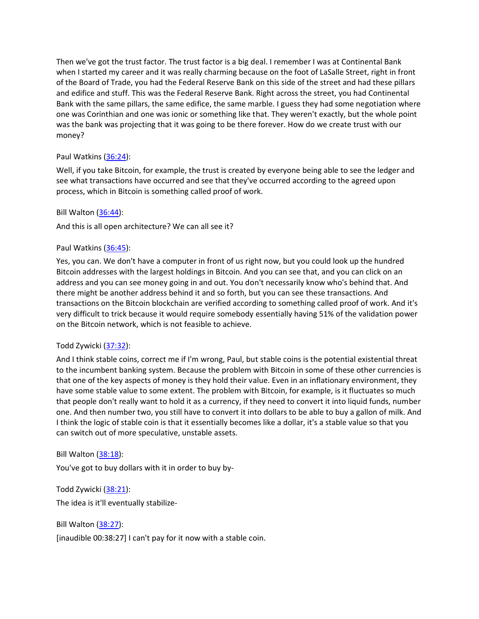Then we've got the trust factor. The trust factor is a big deal. I remember I was at Continental Bank when I started my career and it was really charming because on the foot of LaSalle Street, right in front of the Board of Trade, you had the Federal Reserve Bank on this side of the street and had these pillars and edifice and stuff. This was the Federal Reserve Bank. Right across the street, you had Continental Bank with the same pillars, the same edifice, the same marble. I guess they had some negotiation where one was Corinthian and one was ionic or something like that. They weren't exactly, but the whole point was the bank was projecting that it was going to be there forever. How do we create trust with our money?

# Paul Watkins [\(36:24\)](https://www.rev.com/transcript-editor/Edit?token=sfIqR_AFW9s1eyX5h_w3RsvB0ES4ktiNaYon2lkAVgJJEYgcReB5RqL28GreIiKm2ci_hbko5EGAnsdzWqFhqrB0s30&loadFrom=DocumentDeeplink&ts=2184.02):

Well, if you take Bitcoin, for example, the trust is created by everyone being able to see the ledger and see what transactions have occurred and see that they've occurred according to the agreed upon process, which in Bitcoin is something called proof of work.

### Bill Walton [\(36:44\)](https://www.rev.com/transcript-editor/Edit?token=TqGJ7mBocq44Z_CksmdStqZzxE666Leqxdyz3h2uLFPPoyYec5QHugdk-STrcNWHG8-dZaC0IJLam-IhEbkOP4ske1s&loadFrom=DocumentDeeplink&ts=2204.88):

And this is all open architecture? We can all see it?

# Paul Watkins [\(36:45\)](https://www.rev.com/transcript-editor/Edit?token=F3-Z7EpvsVmesY5JXsB6YfeJGTGVDP6Ciraj05ul7RJaO483rTLCZXlaxKXzOjVbj45Mat-QQiiAE0mKQccXavv1C0I&loadFrom=DocumentDeeplink&ts=2205.82):

Yes, you can. We don't have a computer in front of us right now, but you could look up the hundred Bitcoin addresses with the largest holdings in Bitcoin. And you can see that, and you can click on an address and you can see money going in and out. You don't necessarily know who's behind that. And there might be another address behind it and so forth, but you can see these transactions. And transactions on the Bitcoin blockchain are verified according to something called proof of work. And it's very difficult to trick because it would require somebody essentially having 51% of the validation power on the Bitcoin network, which is not feasible to achieve.

### Todd Zywicki [\(37:32\)](https://www.rev.com/transcript-editor/Edit?token=SpHrEFbDyIp4Pnf4X0nWNjrwKmg4bYnII4oG_ruGtFGdkYnIGr8L2ZheCljaVZ3Ti0ncubK28KCMG1bKwfKwPsyZchQ&loadFrom=DocumentDeeplink&ts=2252.4):

And I think stable coins, correct me if I'm wrong, Paul, but stable coins is the potential existential threat to the incumbent banking system. Because the problem with Bitcoin in some of these other currencies is that one of the key aspects of money is they hold their value. Even in an inflationary environment, they have some stable value to some extent. The problem with Bitcoin, for example, is it fluctuates so much that people don't really want to hold it as a currency, if they need to convert it into liquid funds, number one. And then number two, you still have to convert it into dollars to be able to buy a gallon of milk. And I think the logic of stable coin is that it essentially becomes like a dollar, it's a stable value so that you can switch out of more speculative, unstable assets.

### Bill Walton [\(38:18\)](https://www.rev.com/transcript-editor/Edit?token=cwX6M0_tKKIc7m1RRLkh0lkWzmYsxy7uVN3Fv60vjxfWTu5e-6E6NHODfiH0uzemz7ZbedokTit_HTXP_ZXgNAAFnkE&loadFrom=DocumentDeeplink&ts=2298.27):

You've got to buy dollars with it in order to buy by-

Todd Zywicki [\(38:21\)](https://www.rev.com/transcript-editor/Edit?token=Syan6k54zyoGNA6hNPCzve708viUAMCZbKBplM0dsYKaTlY30y_qpsUSrD8DBRPoTTZZrgFf3ZH-_gXaap7PBNE_Sj4&loadFrom=DocumentDeeplink&ts=2301.82): The idea is it'll eventually stabilize-

Bill Walton [\(38:27\)](https://www.rev.com/transcript-editor/Edit?token=yeygMDB_cnIpJLei8cEI93JCONdLjaXKPDb2fBoedrDpKTxd5G6cD4MsxM9rpwbj68RvZYUBWerAn5tAaUk5eXy7pSE&loadFrom=DocumentDeeplink&ts=2307):

[inaudible 00:38:27] I can't pay for it now with a stable coin.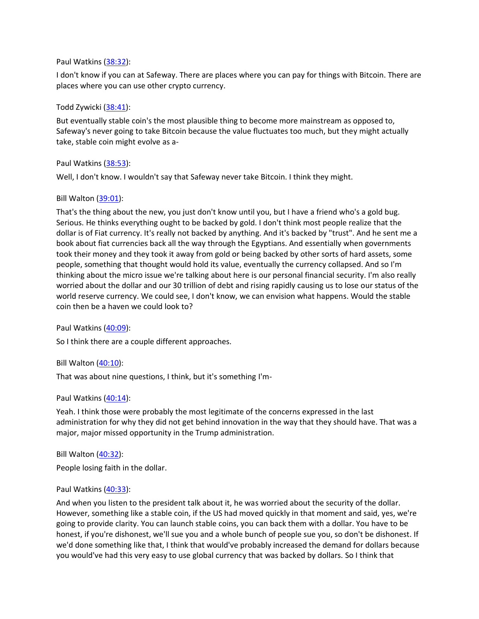#### Paul Watkins [\(38:32\)](https://www.rev.com/transcript-editor/Edit?token=egCCfUF8gF6Qg7kNd9QEI1s5cYI0qUWeS0i_hODz7T2hSt0b1P5tM4MVrkQFkAkkVDELY7LIxBxGsveuocjvMZGAy80&loadFrom=DocumentDeeplink&ts=2312.8):

I don't know if you can at Safeway. There are places where you can pay for things with Bitcoin. There are places where you can use other crypto currency.

#### Todd Zywicki [\(38:41\)](https://www.rev.com/transcript-editor/Edit?token=2_8Lw2EXn37kPvFZCtCD1BVUi38VyZ_fgI9-yWO4KDi8vXNy6V8F7o7El4QxdMpmwjZl1jhuKeC6KK_sUpBF-Y2Ynho&loadFrom=DocumentDeeplink&ts=2321.62):

But eventually stable coin's the most plausible thing to become more mainstream as opposed to, Safeway's never going to take Bitcoin because the value fluctuates too much, but they might actually take, stable coin might evolve as a-

#### Paul Watkins [\(38:53\)](https://www.rev.com/transcript-editor/Edit?token=V2Ly0HktdWnKLn_yU6qBC1umNxqY9I_RPL7Gz-kQLQIzkDwrNM_eO2uCXlB1FgFc9Kug_wRAl5zw9fCgDJ07f5VoCtA&loadFrom=DocumentDeeplink&ts=2333.82):

Well, I don't know. I wouldn't say that Safeway never take Bitcoin. I think they might.

#### Bill Walton [\(39:01\)](https://www.rev.com/transcript-editor/Edit?token=xazwRlVsvKZGOYL6WZODQWzmBR4Qk63pcDZcupc-dNSEihhGXXr7K14SzMAf4izZBp_VpRostbI-R6wp_9pevDAGvJ4&loadFrom=DocumentDeeplink&ts=2341.47):

That's the thing about the new, you just don't know until you, but I have a friend who's a gold bug. Serious. He thinks everything ought to be backed by gold. I don't think most people realize that the dollar is of Fiat currency. It's really not backed by anything. And it's backed by "trust". And he sent me a book about fiat currencies back all the way through the Egyptians. And essentially when governments took their money and they took it away from gold or being backed by other sorts of hard assets, some people, something that thought would hold its value, eventually the currency collapsed. And so I'm thinking about the micro issue we're talking about here is our personal financial security. I'm also really worried about the dollar and our 30 trillion of debt and rising rapidly causing us to lose our status of the world reserve currency. We could see, I don't know, we can envision what happens. Would the stable coin then be a haven we could look to?

Paul Watkins [\(40:09\)](https://www.rev.com/transcript-editor/Edit?token=BfZ17c82lgmY4bX95Vcpg_MyYKVNNDGtpzY5MtiR76Un4yW8sA1BEJZX63jgaFPNdSzdoIQV9PJ8v8WYhB-Q9-fzzak&loadFrom=DocumentDeeplink&ts=2409.21):

So I think there are a couple different approaches.

Bill Walton [\(40:10\)](https://www.rev.com/transcript-editor/Edit?token=bLRrliZfwxPFRUhJR9Lzc_kop6jBdka2AAk-mhrBkfj7AywGgmcgJU1tWzAAfy_iC5B7ybfeVbgUbilGoJ_TG2_11ME&loadFrom=DocumentDeeplink&ts=2410.93):

That was about nine questions, I think, but it's something I'm-

### Paul Watkins [\(40:14\)](https://www.rev.com/transcript-editor/Edit?token=cZI8Lri8sF1rYl4ipKjmotnEXAIYC9O45H0XNlGFF-6Weiu_4i7bjzQFq_NnbpA_yCbTIx7b_jdxe9TF8Fvb70mRRds&loadFrom=DocumentDeeplink&ts=2414.8):

Yeah. I think those were probably the most legitimate of the concerns expressed in the last administration for why they did not get behind innovation in the way that they should have. That was a major, major missed opportunity in the Trump administration.

Bill Walton [\(40:32\)](https://www.rev.com/transcript-editor/Edit?token=Tn8oCXHWBkOzxoJ8Z-VtPwCgKeGT9hCB37yVq0RJVPJ_iwuugsfupG03uvhxKSwGtAEYRAsz2xV0V4kdwq90rfrCcDg&loadFrom=DocumentDeeplink&ts=2432.43):

People losing faith in the dollar.

#### Paul Watkins [\(40:33\)](https://www.rev.com/transcript-editor/Edit?token=Rzuri_oxYiLkW2ESLYGE-kdWPER5DgepqzRz7kOuvcuykxmjNgDO9lp9h8-FwKAkafymom4Jiw732N2YCfW8jZu5q1k&loadFrom=DocumentDeeplink&ts=2433.64):

And when you listen to the president talk about it, he was worried about the security of the dollar. However, something like a stable coin, if the US had moved quickly in that moment and said, yes, we're going to provide clarity. You can launch stable coins, you can back them with a dollar. You have to be honest, if you're dishonest, we'll sue you and a whole bunch of people sue you, so don't be dishonest. If we'd done something like that, I think that would've probably increased the demand for dollars because you would've had this very easy to use global currency that was backed by dollars. So I think that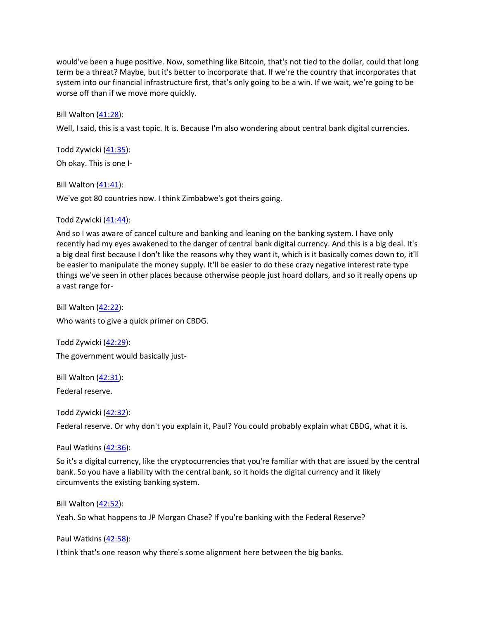would've been a huge positive. Now, something like Bitcoin, that's not tied to the dollar, could that long term be a threat? Maybe, but it's better to incorporate that. If we're the country that incorporates that system into our financial infrastructure first, that's only going to be a win. If we wait, we're going to be worse off than if we move more quickly.

Bill Walton [\(41:28\)](https://www.rev.com/transcript-editor/Edit?token=4rvyo3jtaRoLi7Fb5QjJcYOwed71U6sjmUgxcXSmrZ8sPWvnC2P6yGgGZ3GwKn_2H9QJFMvz8oEKdE5aOp0uQGtbRoI&loadFrom=DocumentDeeplink&ts=2488.27):

Well, I said, this is a vast topic. It is. Because I'm also wondering about central bank digital currencies.

Todd Zywicki [\(41:35\)](https://www.rev.com/transcript-editor/Edit?token=XFj4_LPmhQr5E_7NDhJdj-F09-C4Jko15Mh3ZSDVY7AvGBjj1O2PZAyugE7EL9gzu3ta_Gdz9TxRIV23CZSRjUAQi3s&loadFrom=DocumentDeeplink&ts=2495.53): Oh okay. This is one I-

Bill Walton  $(41:41)$ : We've got 80 countries now. I think Zimbabwe's got theirs going.

Todd Zywicki [\(41:44\)](https://www.rev.com/transcript-editor/Edit?token=7Fw7vDhnpbWGlGhy4Ogsgjaynd5nPUp6gLT60XSZsH-fK--XmgpR_v3nvromxCWnFpFrItTc2-rBwnnKuQLqKeak9XQ&loadFrom=DocumentDeeplink&ts=2504.28):

And so I was aware of cancel culture and banking and leaning on the banking system. I have only recently had my eyes awakened to the danger of central bank digital currency. And this is a big deal. It's a big deal first because I don't like the reasons why they want it, which is it basically comes down to, it'll be easier to manipulate the money supply. It'll be easier to do these crazy negative interest rate type things we've seen in other places because otherwise people just hoard dollars, and so it really opens up a vast range for-

Bill Walton [\(42:22\)](https://www.rev.com/transcript-editor/Edit?token=VWWrScKohugFO5pBcOK6iUFHejzXl55oZPBezaQbtwro6XBI9_v4ivvTcYMjp0thLO0LnNNuCm8NGqW6IRq8fhDJ8nk&loadFrom=DocumentDeeplink&ts=2542.25): Who wants to give a quick primer on CBDG.

Todd Zywicki [\(42:29\)](https://www.rev.com/transcript-editor/Edit?token=NYxibT2iqtPp633okY27patD7FOZCj-DQLXiJG0xbSozkyBB5hdGdqLWBm64R1nbvN1BbRc-_VJbNGDDGg2Wg6QWFAw&loadFrom=DocumentDeeplink&ts=2549.44): The government would basically just-

Bill Walton [\(42:31\)](https://www.rev.com/transcript-editor/Edit?token=9FIGqvOgAGiyYQtvnDFR4E4ccKXZEgL1c_ADONaeYSiOB255cTve3VaQiUqHHbB61Opk4oYMuc8ey9dYEG5zx-WZyPg&loadFrom=DocumentDeeplink&ts=2551.12): Federal reserve.

Todd Zywicki [\(42:32\)](https://www.rev.com/transcript-editor/Edit?token=M8nk_eiG350gykg0jQXu3ZJBvtQuy0xjOM6Tdh083zI4t4nW0X1U5SD4pgDDffRzOvOSp7kwLhUm4KPDS0TNvEd0t2g&loadFrom=DocumentDeeplink&ts=2552.02):

Federal reserve. Or why don't you explain it, Paul? You could probably explain what CBDG, what it is.

Paul Watkins [\(42:36\)](https://www.rev.com/transcript-editor/Edit?token=F2gMknmG7zhPIx65k1Nk0NNaMrexMfKgGksGpgKSwzqVddd-b9Yu5jMQfpBKvhM7iCCkHNyxSsOWOzgkP_Lj_nGeS9A&loadFrom=DocumentDeeplink&ts=2556.61):

So it's a digital currency, like the cryptocurrencies that you're familiar with that are issued by the central bank. So you have a liability with the central bank, so it holds the digital currency and it likely circumvents the existing banking system.

Bill Walton [\(42:52\)](https://www.rev.com/transcript-editor/Edit?token=wAJYDl6zgHTnJok0IVLeOcQGKhTpoNOBUB1oDOKiKgDYMQs1jrSBmQOs2eoOyTLaIa-vpyXlwHLvYy2eLqFRMoBQceE&loadFrom=DocumentDeeplink&ts=2572.64):

Yeah. So what happens to JP Morgan Chase? If you're banking with the Federal Reserve?

Paul Watkins [\(42:58\)](https://www.rev.com/transcript-editor/Edit?token=axo8VhufZpX6m51x0LA2GMGoWXbsmsmewdWlpbg1liWhi_ioMeSQ3eECcEdlRN53hyxky86dThwKnqmaVHm3XZMiqEc&loadFrom=DocumentDeeplink&ts=2578.33):

I think that's one reason why there's some alignment here between the big banks.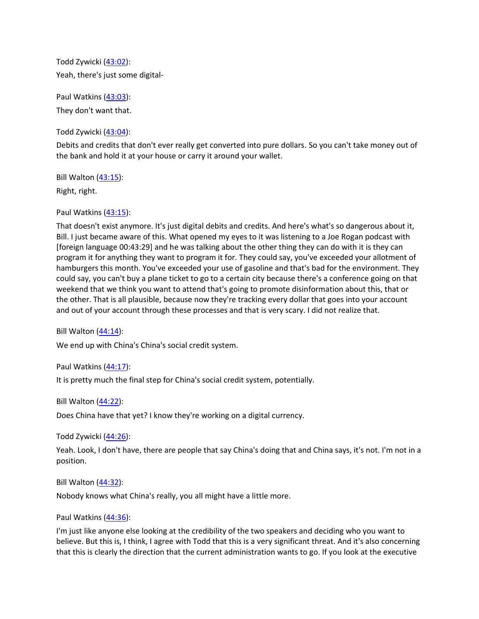Todd Zywicki [\(43:02\)](https://www.rev.com/transcript-editor/Edit?token=zcNHeefWkf3pGcwVYqbGT7OsJ1Zkf0vBQuuSZ8t5E0hB7gU7fLAPQZ4X-v2FQ_Oq2hGheTWobEYdJncOHtgvWJA2FUE&loadFrom=DocumentDeeplink&ts=2582.6): Yeah, there's just some digital-

Paul Watkins [\(43:03\)](https://www.rev.com/transcript-editor/Edit?token=f598R7IZ6dttNNke8v4eXmLdlsIPZdM8-dcLGroq_rixg0_D352hXb2Kbe7yaRMQzsPmRe3OAqXbmtkpcmstzU2CTs4&loadFrom=DocumentDeeplink&ts=2583.74): They don't want that.

Todd Zywicki [\(43:04\)](https://www.rev.com/transcript-editor/Edit?token=mn_QHJ6bzpQonVHpxZNPlQGdawh3eU53xyMGBgMTxEOx_PbkhPffNGYaGr2A_1TtNjl7VBqk27h87OqPmZIlOAfcC9U&loadFrom=DocumentDeeplink&ts=2584.43):

Debits and credits that don't ever really get converted into pure dollars. So you can't take money out of the bank and hold it at your house or carry it around your wallet.

Bill Walton [\(43:15\)](https://www.rev.com/transcript-editor/Edit?token=OkiYrEbh2Wudp7e2fTGVkSqNoF9IWy2-8grDp2OGIlm5LeP2h-GJq7SIUtMZgSqqgXifuAXLQ-diK_kBsUWSyb-P1vc&loadFrom=DocumentDeeplink&ts=2595.02): Right, right.

Paul Watkins [\(43:15\)](https://www.rev.com/transcript-editor/Edit?token=VoSxpPP9PAIx_DonMar9VnY-_fl05JBlBs2LnyiuE9-VsfBv_UKVQpl8OMOeHYHbITVe_H2IrnqtPMw-pQexXjnfSLQ&loadFrom=DocumentDeeplink&ts=2595.66):

That doesn't exist anymore. It's just digital debits and credits. And here's what's so dangerous about it, Bill. I just became aware of this. What opened my eyes to it was listening to a Joe Rogan podcast with [foreign language 00:43:29] and he was talking about the other thing they can do with it is they can program it for anything they want to program it for. They could say, you've exceeded your allotment of hamburgers this month. You've exceeded your use of gasoline and that's bad for the environment. They could say, you can't buy a plane ticket to go to a certain city because there's a conference going on that weekend that we think you want to attend that's going to promote disinformation about this, that or the other. That is all plausible, because now they're tracking every dollar that goes into your account and out of your account through these processes and that is very scary. I did not realize that.

Bill Walton [\(44:14\)](https://www.rev.com/transcript-editor/Edit?token=hpgOBfKF0685b47G6ksacPXZIxJkUVGOom2UcVvxZfhmNU_eiELqGhnoPe63akkAf4emgOtohOKjmH_Weo_Qvk5cm0w&loadFrom=DocumentDeeplink&ts=2654.98):

We end up with China's China's social credit system.

Paul Watkins [\(44:17\)](https://www.rev.com/transcript-editor/Edit?token=zW2mFn1BPC66TUs3FPknwDtqPuoMvs6h2FtcN1yYOg4B7RVsFcCg2EC__HfYGbV46M-aqkiizGAdjSfH7MILm3HWHuk&loadFrom=DocumentDeeplink&ts=2657.07):

It is pretty much the final step for China's social credit system, potentially.

Bill Walton [\(44:22\)](https://www.rev.com/transcript-editor/Edit?token=QoqJCnO3DTKMaJvM3dg47gw5ommP8u_WDoN7Y1wm_qAbRttMaflHUM9b2ecAVLMC3lfHw3pbJmHK6xH6SmSGxe40_Hk&loadFrom=DocumentDeeplink&ts=2662.22):

Does China have that yet? I know they're working on a digital currency.

Todd Zywicki [\(44:26\)](https://www.rev.com/transcript-editor/Edit?token=r_5AUyC8whHko-FlUOdmTIbuZRoY8itgiTfyxZC5EfmpJGFuGFhpCwS3M_bs3qwKNiXm21QmpL_bVQKba-pMFLhXCzw&loadFrom=DocumentDeeplink&ts=2666.7):

Yeah. Look, I don't have, there are people that say China's doing that and China says, it's not. I'm not in a position.

Bill Walton [\(44:32\)](https://www.rev.com/transcript-editor/Edit?token=WViX3lB9H8GUpS6-VIMt-SCY36t5E6oiH6TnAPoKztm8dTSfft9SPDG4lUbD-2INMyIrpcxcWaqzCN_xgJmwY55b6lk&loadFrom=DocumentDeeplink&ts=2672.84):

Nobody knows what China's really, you all might have a little more.

Paul Watkins [\(44:36\)](https://www.rev.com/transcript-editor/Edit?token=tUWi1i9drP1wlAao04lK2n98h04pwQTH6fDJ5asPNkGH6G34WW11pJ-Y24-J8fNMhOugWfPTAuUYDAL_WPqMpbyatfk&loadFrom=DocumentDeeplink&ts=2676.81):

I'm just like anyone else looking at the credibility of the two speakers and deciding who you want to believe. But this is, I think, I agree with Todd that this is a very significant threat. And it's also concerning that this is clearly the direction that the current administration wants to go. If you look at the executive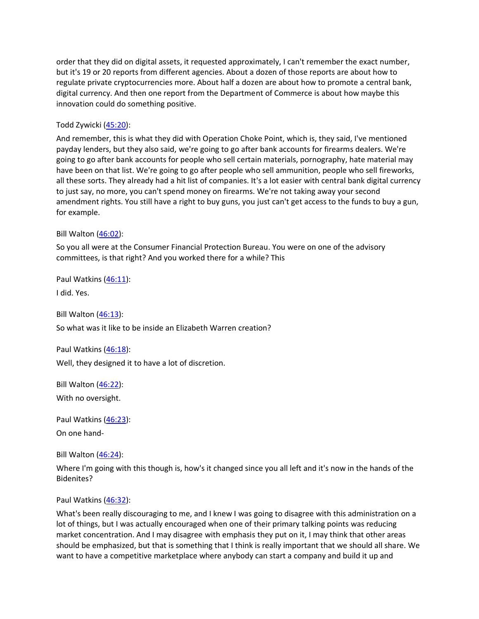order that they did on digital assets, it requested approximately, I can't remember the exact number, but it's 19 or 20 reports from different agencies. About a dozen of those reports are about how to regulate private cryptocurrencies more. About half a dozen are about how to promote a central bank, digital currency. And then one report from the Department of Commerce is about how maybe this innovation could do something positive.

#### Todd Zywicki [\(45:20\)](https://www.rev.com/transcript-editor/Edit?token=JaP7kkJ2jF4SN1effB_KLwSTA_3vdBCn1HDSsMb52o4ftvlFglKvnKly41niUpAmhwvxrisgqNLupeUodq1fmjD0UjQ&loadFrom=DocumentDeeplink&ts=2720.32):

And remember, this is what they did with Operation Choke Point, which is, they said, I've mentioned payday lenders, but they also said, we're going to go after bank accounts for firearms dealers. We're going to go after bank accounts for people who sell certain materials, pornography, hate material may have been on that list. We're going to go after people who sell ammunition, people who sell fireworks, all these sorts. They already had a hit list of companies. It's a lot easier with central bank digital currency to just say, no more, you can't spend money on firearms. We're not taking away your second amendment rights. You still have a right to buy guns, you just can't get access to the funds to buy a gun, for example.

#### Bill Walton [\(46:02\)](https://www.rev.com/transcript-editor/Edit?token=0cun15F5AtQjLZnn9iVIaANKFHTc4UqtrDXbq2meJwoYBhrO3moroofQ0xwnE2eAoQ7_nf9hkr2wzqGFEFroyDR-kFc&loadFrom=DocumentDeeplink&ts=2762.81):

So you all were at the Consumer Financial Protection Bureau. You were on one of the advisory committees, is that right? And you worked there for a while? This

Paul Watkins [\(46:11\)](https://www.rev.com/transcript-editor/Edit?token=Tmpq3Fk51vtGU6egIXdAORh2cQPrPrt_lJD06kdhUcorcpdLMCA-Ho8PxBjkg047AhNtqlrMQEzNnI5A4AGFiSYHPfE&loadFrom=DocumentDeeplink&ts=2771.9):

I did. Yes.

Bill Walton [\(46:13\)](https://www.rev.com/transcript-editor/Edit?token=LHid8vYbVD297hNUFFUzcruT2K060ABeJMrBBE18ZxRL594137f9Y9BAklsLu7mwmSZyO6gtOe_rsheGV-4lzebWhnw&loadFrom=DocumentDeeplink&ts=2773.74):

So what was it like to be inside an Elizabeth Warren creation?

Paul Watkins [\(46:18\)](https://www.rev.com/transcript-editor/Edit?token=4Rak_QsTEC3aeU8zFE79H8WHN300uGQevWUHFxZo5OmAUTCyv4s3iUhXsAN-tflaz1TXM2kDt0LqhTCIG3r4ZKOJkwk&loadFrom=DocumentDeeplink&ts=2778.17):

Well, they designed it to have a lot of discretion.

Bill Walton [\(46:22\)](https://www.rev.com/transcript-editor/Edit?token=ciFA1XStafvBvhXc0CqBWyJTKGEO0zXFXl3oeupgfZL7kvnW2TMFK6-w0S7zteAasvEU0FT-gEyZcn_eVCPtl8Om5xU&loadFrom=DocumentDeeplink&ts=2782.21): With no oversight.

Paul Watkins [\(46:23\)](https://www.rev.com/transcript-editor/Edit?token=1Z8ZSmX1SMT4PqSKTlwrr9M-tO6R48q5Dme9URSjL2kFxYUgsklf5RcGg1Wwbuf1zyoGRKfHnjU8E8EHuQ2QTk3zrtw&loadFrom=DocumentDeeplink&ts=2783.6):

On one hand-

Bill Walton [\(46:24\)](https://www.rev.com/transcript-editor/Edit?token=8K1mqQ6n44j0EvcRMU9oZpX4aLxTeHeqrBLrIvlbAs7O5oaP9qZeu9de7Mhi50PHWuZPVJrxLdLiSeUjhqfQPzo942k&loadFrom=DocumentDeeplink&ts=2784.27):

Where I'm going with this though is, how's it changed since you all left and it's now in the hands of the Bidenites?

#### Paul Watkins [\(46:32\)](https://www.rev.com/transcript-editor/Edit?token=QMcaV7FVy1aYK3N9s_zIP9Bk3NUYvBl664lCWLUx8Hz-CP_21-oiPCysr1X9V-_BS2YGyUTOTHWz1TB61HbYEqlvkTs&loadFrom=DocumentDeeplink&ts=2792.49):

What's been really discouraging to me, and I knew I was going to disagree with this administration on a lot of things, but I was actually encouraged when one of their primary talking points was reducing market concentration. And I may disagree with emphasis they put on it, I may think that other areas should be emphasized, but that is something that I think is really important that we should all share. We want to have a competitive marketplace where anybody can start a company and build it up and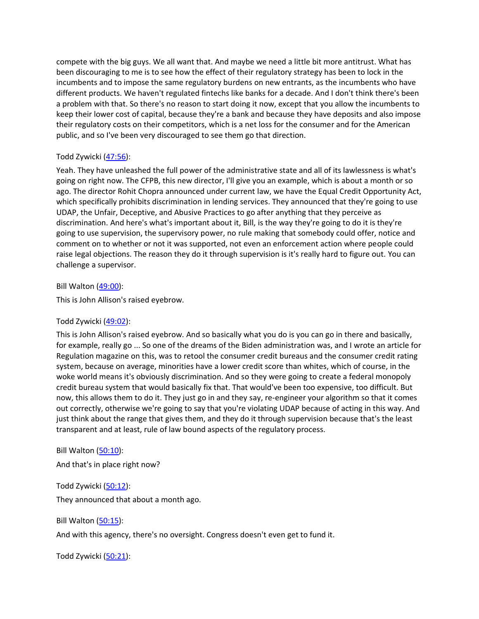compete with the big guys. We all want that. And maybe we need a little bit more antitrust. What has been discouraging to me is to see how the effect of their regulatory strategy has been to lock in the incumbents and to impose the same regulatory burdens on new entrants, as the incumbents who have different products. We haven't regulated fintechs like banks for a decade. And I don't think there's been a problem with that. So there's no reason to start doing it now, except that you allow the incumbents to keep their lower cost of capital, because they're a bank and because they have deposits and also impose their regulatory costs on their competitors, which is a net loss for the consumer and for the American public, and so I've been very discouraged to see them go that direction.

### Todd Zywicki [\(47:56\)](https://www.rev.com/transcript-editor/Edit?token=sYVm_MIZy-Z34g1J9f_xFbjZb35jqekvlXtVg9rUe_4qO8oYCjL-95sT98M4mB03XgSxDDY1tTX_ZPxjwkRs3eq9x1c&loadFrom=DocumentDeeplink&ts=2876.66):

Yeah. They have unleashed the full power of the administrative state and all of its lawlessness is what's going on right now. The CFPB, this new director, I'll give you an example, which is about a month or so ago. The director Rohit Chopra announced under current law, we have the Equal Credit Opportunity Act, which specifically prohibits discrimination in lending services. They announced that they're going to use UDAP, the Unfair, Deceptive, and Abusive Practices to go after anything that they perceive as discrimination. And here's what's important about it, Bill, is the way they're going to do it is they're going to use supervision, the supervisory power, no rule making that somebody could offer, notice and comment on to whether or not it was supported, not even an enforcement action where people could raise legal objections. The reason they do it through supervision is it's really hard to figure out. You can challenge a supervisor.

#### Bill Walton [\(49:00\)](https://www.rev.com/transcript-editor/Edit?token=VRzrLxehV_r39jjazou_ovLe6f3VDRAW0tt7lS9RZyXbEiF2YjQNMfSZ1F8VY9zVekgeHVOG-J2x8ZoHDeIEYTUgRKo&loadFrom=DocumentDeeplink&ts=2940.55):

This is John Allison's raised eyebrow.

### Todd Zywicki [\(49:02\)](https://www.rev.com/transcript-editor/Edit?token=OTnsKXmy6Emqf6mLI7kqqOKsnoPl1CVwdwkF5ySbyhk97NJUzrEziu3FN9x9xpbD3Q-U0efQ3Es_NWmU7iGlR4NqgVM&loadFrom=DocumentDeeplink&ts=2942.33):

This is John Allison's raised eyebrow. And so basically what you do is you can go in there and basically, for example, really go ... So one of the dreams of the Biden administration was, and I wrote an article for Regulation magazine on this, was to retool the consumer credit bureaus and the consumer credit rating system, because on average, minorities have a lower credit score than whites, which of course, in the woke world means it's obviously discrimination. And so they were going to create a federal monopoly credit bureau system that would basically fix that. That would've been too expensive, too difficult. But now, this allows them to do it. They just go in and they say, re-engineer your algorithm so that it comes out correctly, otherwise we're going to say that you're violating UDAP because of acting in this way. And just think about the range that gives them, and they do it through supervision because that's the least transparent and at least, rule of law bound aspects of the regulatory process.

Bill Walton [\(50:10\)](https://www.rev.com/transcript-editor/Edit?token=ApFnAX8Ob0MB-ZwGRF9D6QH2NohRvzEZe6wF6XXbK6B5LwiAeT9IqKY-JrTbOV_7LFonGHxU8nj6OzC4ngvh2KUR8Sg&loadFrom=DocumentDeeplink&ts=3010.6):

And that's in place right now?

Todd Zywicki [\(50:12\)](https://www.rev.com/transcript-editor/Edit?token=HCN19NHINswBkTy-22aaXws3xqQyaINArhQZLAkqAMY45ALRQCQAc7gW8BQn83tITsEkFFvEcCvW8k0PCscB1cKjCcg&loadFrom=DocumentDeeplink&ts=3012.44): They announced that about a month ago.

Bill Walton [\(50:15\)](https://www.rev.com/transcript-editor/Edit?token=Y347-kIjunMcNFQkNaFiARYBoMGWWMNSfMbTvbYSo1PXrpjR-zBhEgETo3UyJoAP2RvlHIwBlYyJE2Us8VnNhtMwWCY&loadFrom=DocumentDeeplink&ts=3015.36):

And with this agency, there's no oversight. Congress doesn't even get to fund it.

Todd Zywicki [\(50:21\)](https://www.rev.com/transcript-editor/Edit?token=uZNfu3FFeMXJ9saSxxn7up8CJXtwc2D3Ayzc525zjR0grG8ZhgG9IDs9w-wzRaHQybQp2Z9fF1ZZGosX1XD8Tk1chmw&loadFrom=DocumentDeeplink&ts=3021.73):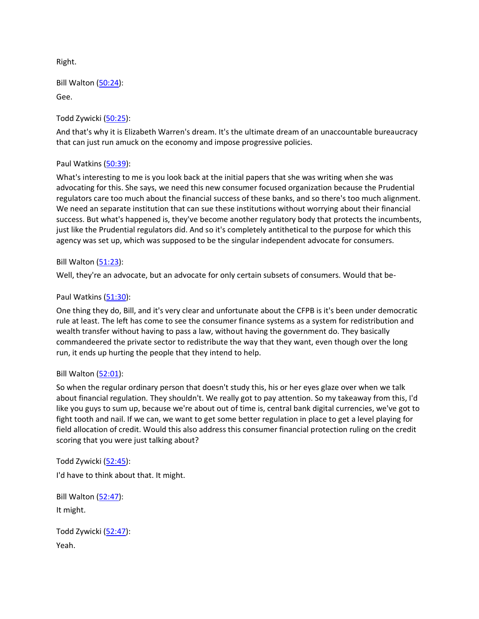Right.

Bill Walton [\(50:24\)](https://www.rev.com/transcript-editor/Edit?token=iB04CiK5xJVfTAEUk07V3CTFbPyFL3hKj1kWtpDP2UAflEKV_BnWL6UezEcL9UWAEnLhTdXy8Vwso2GVyHdERCOPpfQ&loadFrom=DocumentDeeplink&ts=3024.54):

Gee.

Todd Zywicki [\(50:25\)](https://www.rev.com/transcript-editor/Edit?token=yAXr65SfOBjZfZjEYlGuOLH6vKLUzQ32Ub2NzC9TMBiaqiXJpRPJIsrYNB7pzFK5Vij7dODuyiFHAGmeXjK-BNUzyOA&loadFrom=DocumentDeeplink&ts=3025.9):

And that's why it is Elizabeth Warren's dream. It's the ultimate dream of an unaccountable bureaucracy that can just run amuck on the economy and impose progressive policies.

# Paul Watkins [\(50:39\)](https://www.rev.com/transcript-editor/Edit?token=38kwTzDl_ThUHaHKduYO5Yn9kEa-kGifmswCU0OETrM12dTZbx2kQn4XlNZmFrKQEIltOF1J3YX1fxWMHav29MUca_Q&loadFrom=DocumentDeeplink&ts=3039.51):

What's interesting to me is you look back at the initial papers that she was writing when she was advocating for this. She says, we need this new consumer focused organization because the Prudential regulators care too much about the financial success of these banks, and so there's too much alignment. We need an separate institution that can sue these institutions without worrying about their financial success. But what's happened is, they've become another regulatory body that protects the incumbents, just like the Prudential regulators did. And so it's completely antithetical to the purpose for which this agency was set up, which was supposed to be the singular independent advocate for consumers.

# Bill Walton [\(51:23\)](https://www.rev.com/transcript-editor/Edit?token=C5HbgsmtjFoM0Zv523j0H_5jpzjK5uFvONJKf-64ZXPr_V6Szjcx0mZLpzH4Rc1l7asZM7W8AN6nUO110g09mqDN9yA&loadFrom=DocumentDeeplink&ts=3083.62):

Well, they're an advocate, but an advocate for only certain subsets of consumers. Would that be-

# Paul Watkins [\(51:30\)](https://www.rev.com/transcript-editor/Edit?token=-_RGfKgJi_a4iFyfu4iSXlPgtcCH3dArgVMgtLqxobSeh0-uHq-PguLkvd86pTCkUxmN89iABiAnlDFxv1j50Fzm374&loadFrom=DocumentDeeplink&ts=3090.67):

One thing they do, Bill, and it's very clear and unfortunate about the CFPB is it's been under democratic rule at least. The left has come to see the consumer finance systems as a system for redistribution and wealth transfer without having to pass a law, without having the government do. They basically commandeered the private sector to redistribute the way that they want, even though over the long run, it ends up hurting the people that they intend to help.

### Bill Walton [\(52:01\)](https://www.rev.com/transcript-editor/Edit?token=enhClpJrVB_D1l4vSf-Vq5kox4f2mIrLuwFpAAaAKU0uy5CbSBLtLfKmmYGC3YJqtHGa2-gxxPtn-z104U-MnODuOSQ&loadFrom=DocumentDeeplink&ts=3121.68):

So when the regular ordinary person that doesn't study this, his or her eyes glaze over when we talk about financial regulation. They shouldn't. We really got to pay attention. So my takeaway from this, I'd like you guys to sum up, because we're about out of time is, central bank digital currencies, we've got to fight tooth and nail. If we can, we want to get some better regulation in place to get a level playing for field allocation of credit. Would this also address this consumer financial protection ruling on the credit scoring that you were just talking about?

Todd Zywicki [\(52:45\)](https://www.rev.com/transcript-editor/Edit?token=KrBLJgTCWE3Gv1Fqu8vm-CTaD3x_cELnY8g8roL4gvQScLF0YaIzC0_-GC9hOhGf8JPlVTNbeppmG_yPSi_rX0aOFLI&loadFrom=DocumentDeeplink&ts=3165.06): I'd have to think about that. It might.

Bill Walton  $(52:47)$ : It might.

Todd Zywicki [\(52:47\)](https://www.rev.com/transcript-editor/Edit?token=JGe8KZv8lkUSXw4Yn_ebuOMaW9tY0vhuzl7_qnFKGhA2VovLsy22HBXj6hPSA6JnDT5_oTYkkfj82KlgJHcgnuCY4vg&loadFrom=DocumentDeeplink&ts=3167.82): Yeah.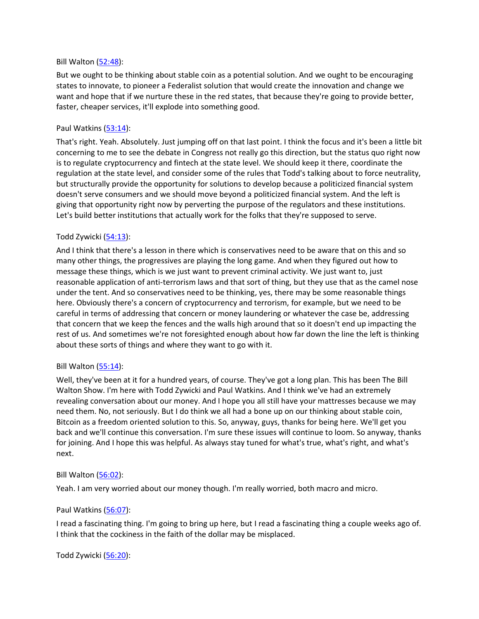#### Bill Walton [\(52:48\)](https://www.rev.com/transcript-editor/Edit?token=-8gkmvBsYb1OFUENjA8yskszCuF17QWSQpme9qC1Bj-TX-GJATLYiCR_Zmc8ptCpjA-lo-iF9AtcHvHU6W3hijSWm-0&loadFrom=DocumentDeeplink&ts=3168.91):

But we ought to be thinking about stable coin as a potential solution. And we ought to be encouraging states to innovate, to pioneer a Federalist solution that would create the innovation and change we want and hope that if we nurture these in the red states, that because they're going to provide better, faster, cheaper services, it'll explode into something good.

#### Paul Watkins [\(53:14\)](https://www.rev.com/transcript-editor/Edit?token=2EHJpMkwW-A4dK_q3asXCP7CAJPga1u2V7ylv4osZ-5gyutNCXxT3FowJeG3zz8HDQxIavhKj6ML3SZt6w92abCa8Ns&loadFrom=DocumentDeeplink&ts=3194.39):

That's right. Yeah. Absolutely. Just jumping off on that last point. I think the focus and it's been a little bit concerning to me to see the debate in Congress not really go this direction, but the status quo right now is to regulate cryptocurrency and fintech at the state level. We should keep it there, coordinate the regulation at the state level, and consider some of the rules that Todd's talking about to force neutrality, but structurally provide the opportunity for solutions to develop because a politicized financial system doesn't serve consumers and we should move beyond a politicized financial system. And the left is giving that opportunity right now by perverting the purpose of the regulators and these institutions. Let's build better institutions that actually work for the folks that they're supposed to serve.

### Todd Zywicki [\(54:13\)](https://www.rev.com/transcript-editor/Edit?token=O0LHzR9RdPE_VkVWJJ4rnt3VJ7itqTt0dHWwYxghAiopoQH4Qc5OwfSLiNVkS4qd2nPaCWg0QTbG-Z2_zoh_jPhb0cw&loadFrom=DocumentDeeplink&ts=3253.61):

And I think that there's a lesson in there which is conservatives need to be aware that on this and so many other things, the progressives are playing the long game. And when they figured out how to message these things, which is we just want to prevent criminal activity. We just want to, just reasonable application of anti-terrorism laws and that sort of thing, but they use that as the camel nose under the tent. And so conservatives need to be thinking, yes, there may be some reasonable things here. Obviously there's a concern of cryptocurrency and terrorism, for example, but we need to be careful in terms of addressing that concern or money laundering or whatever the case be, addressing that concern that we keep the fences and the walls high around that so it doesn't end up impacting the rest of us. And sometimes we're not foresighted enough about how far down the line the left is thinking about these sorts of things and where they want to go with it.

### Bill Walton [\(55:14\)](https://www.rev.com/transcript-editor/Edit?token=EKB91oZnyXrHMBDjjw4ZZzQso87z01hb5-YI-6I_5pQfDc9sbNBGmRUs4-EDsP0agATFsXdUALIaJMA0-4yPvM6914c&loadFrom=DocumentDeeplink&ts=3314.81):

Well, they've been at it for a hundred years, of course. They've got a long plan. This has been The Bill Walton Show. I'm here with Todd Zywicki and Paul Watkins. And I think we've had an extremely revealing conversation about our money. And I hope you all still have your mattresses because we may need them. No, not seriously. But I do think we all had a bone up on our thinking about stable coin, Bitcoin as a freedom oriented solution to this. So, anyway, guys, thanks for being here. We'll get you back and we'll continue this conversation. I'm sure these issues will continue to loom. So anyway, thanks for joining. And I hope this was helpful. As always stay tuned for what's true, what's right, and what's next.

#### Bill Walton [\(56:02\)](https://www.rev.com/transcript-editor/Edit?token=NlOydrb76h2vEm0sTl1a_ekk6M_f7G1IItBZNk_lCi-eCYr-SUONpJ37ZTLl-xNHefclybEUL2aXsl1BZtMMB0gWZBU&loadFrom=DocumentDeeplink&ts=3362.2):

Yeah. I am very worried about our money though. I'm really worried, both macro and micro.

#### Paul Watkins [\(56:07\)](https://www.rev.com/transcript-editor/Edit?token=aG6tx70HSNTtJ6qNGnaooMro9lFl6mFLHoJ3NaJ9Qnx1dnwYwYrN6xR_fM83bvy44WHZI-Sd54jOSCuHW1dxmhIWbM0&loadFrom=DocumentDeeplink&ts=3367.65):

I read a fascinating thing. I'm going to bring up here, but I read a fascinating thing a couple weeks ago of. I think that the cockiness in the faith of the dollar may be misplaced.

#### Todd Zywicki [\(56:20\)](https://www.rev.com/transcript-editor/Edit?token=RC-7aSEmhAhZUF9q7wd7REJ3DdTNMvm4fPR2fYlZx-MoTmKvccnwtZDBnKTvoiNfgHJfxK2YkBm_seyvMMvUhx2crJA&loadFrom=DocumentDeeplink&ts=3380.49):